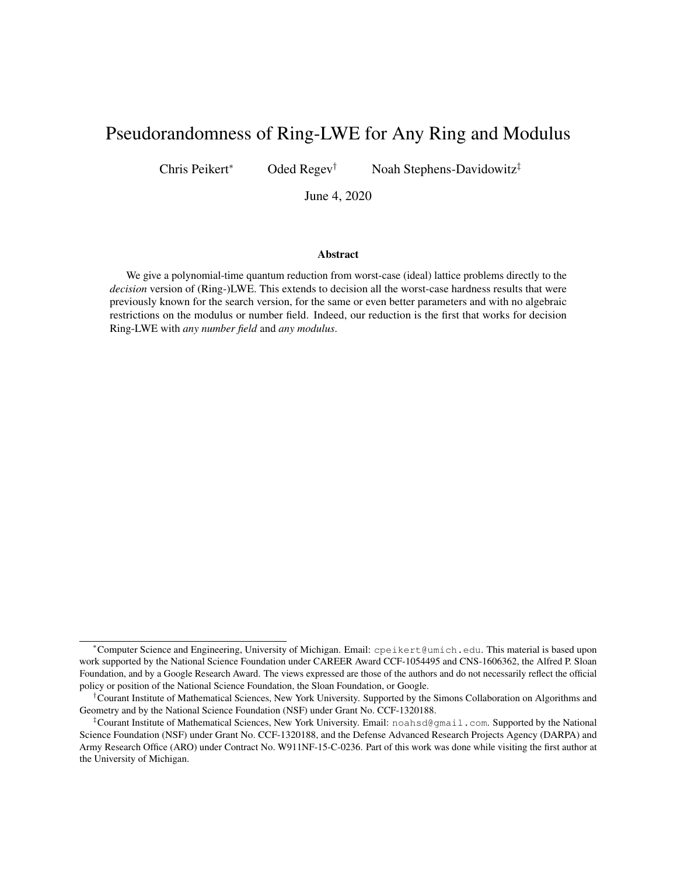# Pseudorandomness of Ring-LWE for Any Ring and Modulus

Chris Peikert<sup>∗</sup> Oded Regev† Noah Stephens-Davidowitz‡

June 4, 2020

#### Abstract

We give a polynomial-time quantum reduction from worst-case (ideal) lattice problems directly to the *decision* version of (Ring-)LWE. This extends to decision all the worst-case hardness results that were previously known for the search version, for the same or even better parameters and with no algebraic restrictions on the modulus or number field. Indeed, our reduction is the first that works for decision Ring-LWE with *any number field* and *any modulus*.

<sup>∗</sup>Computer Science and Engineering, University of Michigan. Email: cpeikert@umich.edu. This material is based upon work supported by the National Science Foundation under CAREER Award CCF-1054495 and CNS-1606362, the Alfred P. Sloan Foundation, and by a Google Research Award. The views expressed are those of the authors and do not necessarily reflect the official policy or position of the National Science Foundation, the Sloan Foundation, or Google.

<sup>†</sup>Courant Institute of Mathematical Sciences, New York University. Supported by the Simons Collaboration on Algorithms and Geometry and by the National Science Foundation (NSF) under Grant No. CCF-1320188.

<sup>‡</sup>Courant Institute of Mathematical Sciences, New York University. Email: noahsd@gmail.com. Supported by the National Science Foundation (NSF) under Grant No. CCF-1320188, and the Defense Advanced Research Projects Agency (DARPA) and Army Research Office (ARO) under Contract No. W911NF-15-C-0236. Part of this work was done while visiting the first author at the University of Michigan.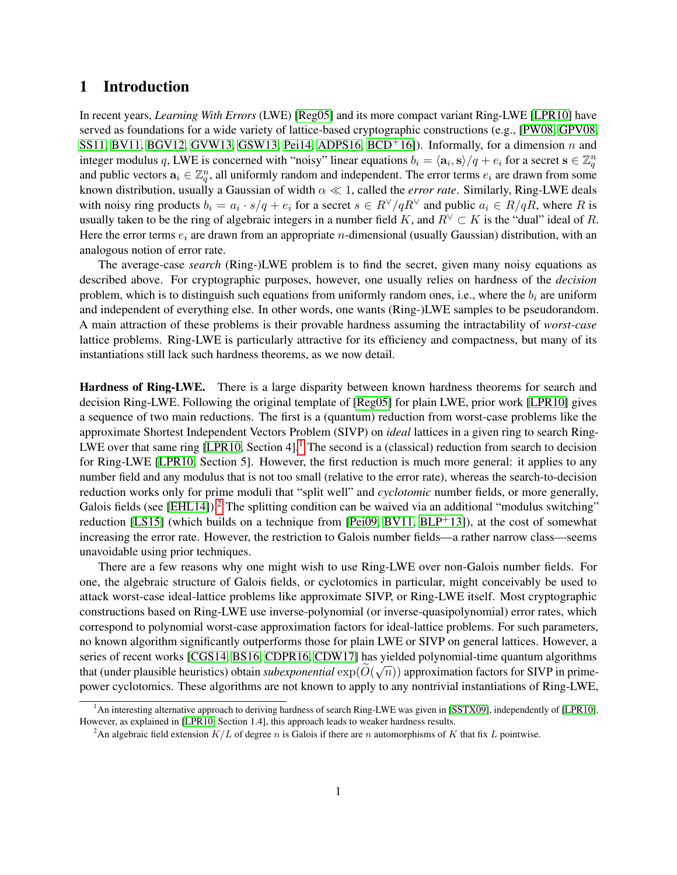# 1 Introduction

In recent years, *Learning With Errors* (LWE) [\[Reg05\]](#page-26-0) and its more compact variant Ring-LWE [\[LPR10\]](#page-25-0) have served as foundations for a wide variety of lattice-based cryptographic constructions (e.g., [\[PW08,](#page-26-1) [GPV08,](#page-25-1) [SS11,](#page-26-2) [BV11,](#page-24-0) [BGV12,](#page-24-1) [GVW13,](#page-25-2) [GSW13,](#page-25-3) [Pei14,](#page-25-4) [ADPS16,](#page-24-2) [BCD](#page-24-3)<sup>+</sup>16]). Informally, for a dimension n and integer modulus q, LWE is concerned with "noisy" linear equations  $b_i = \langle a_i, s \rangle / q + e_i$  for a secret  $s \in \mathbb{Z}_q^n$ and public vectors  $a_i \in \mathbb{Z}_q^n$ , all uniformly random and independent. The error terms  $e_i$  are drawn from some known distribution, usually a Gaussian of width  $\alpha \ll 1$ , called the *error rate*. Similarly, Ring-LWE deals with noisy ring products  $b_i = a_i \cdot s/q + e_i$  for a secret  $s \in R^{\vee}/qR^{\vee}$  and public  $a_i \in R/qR$ , where R is usually taken to be the ring of algebraic integers in a number field K, and  $R^{\vee} \subset K$  is the "dual" ideal of R. Here the error terms  $e_i$  are drawn from an appropriate *n*-dimensional (usually Gaussian) distribution, with an analogous notion of error rate.

The average-case *search* (Ring-)LWE problem is to find the secret, given many noisy equations as described above. For cryptographic purposes, however, one usually relies on hardness of the *decision* problem, which is to distinguish such equations from uniformly random ones, i.e., where the  $b_i$  are uniform and independent of everything else. In other words, one wants (Ring-)LWE samples to be pseudorandom. A main attraction of these problems is their provable hardness assuming the intractability of *worst-case* lattice problems. Ring-LWE is particularly attractive for its efficiency and compactness, but many of its instantiations still lack such hardness theorems, as we now detail.

Hardness of Ring-LWE. There is a large disparity between known hardness theorems for search and decision Ring-LWE. Following the original template of [\[Reg05\]](#page-26-0) for plain LWE, prior work [\[LPR10\]](#page-25-0) gives a sequence of two main reductions. The first is a (quantum) reduction from worst-case problems like the approximate Shortest Independent Vectors Problem (SIVP) on *ideal* lattices in a given ring to search Ring-LWE over that same ring [\[LPR10,](#page-25-0) Section 4].<sup>[1](#page-1-0)</sup> The second is a (classical) reduction from search to decision for Ring-LWE [\[LPR10,](#page-25-0) Section 5]. However, the first reduction is much more general: it applies to any number field and any modulus that is not too small (relative to the error rate), whereas the search-to-decision reduction works only for prime moduli that "split well" and *cyclotomic* number fields, or more generally, Galois fields (see [\[EHL14\]](#page-24-4)).<sup>[2](#page-1-1)</sup> The splitting condition can be waived via an additional "modulus switching" reduction [\[LS15\]](#page-25-5) (which builds on a technique from [\[Pei09,](#page-25-6) [BV11,](#page-24-0) [BLP](#page-24-5)+13]), at the cost of somewhat increasing the error rate. However, the restriction to Galois number fields—a rather narrow class—seems unavoidable using prior techniques.

There are a few reasons why one might wish to use Ring-LWE over non-Galois number fields. For one, the algebraic structure of Galois fields, or cyclotomics in particular, might conceivably be used to attack worst-case ideal-lattice problems like approximate SIVP, or Ring-LWE itself. Most cryptographic constructions based on Ring-LWE use inverse-polynomial (or inverse-quasipolynomial) error rates, which correspond to polynomial worst-case approximation factors for ideal-lattice problems. For such parameters, no known algorithm significantly outperforms those for plain LWE or SIVP on general lattices. However, a series of recent works [\[CGS14,](#page-24-6) [BS16,](#page-24-7) [CDPR16,](#page-24-8) [CDW17\]](#page-24-9) has yielded polynomial-time quantum algorithms that (under plausible heuristics) obtain *subexponential*  $exp(O(\sqrt{n}))$  approximation factors for SIVP in primepower cyclotomics. These algorithms are not known to apply to any nontrivial instantiations of Ring-LWE,

<span id="page-1-0"></span> $<sup>1</sup>$ An interesting alternative approach to deriving hardness of search Ring-LWE was given in [\[SSTX09\]](#page-26-3), independently of [\[LPR10\]](#page-25-0).</sup> However, as explained in [\[LPR10,](#page-25-0) Section 1.4], this approach leads to weaker hardness results.

<span id="page-1-1"></span><sup>&</sup>lt;sup>2</sup>An algebraic field extension  $K/L$  of degree n is Galois if there are n automorphisms of K that fix L pointwise.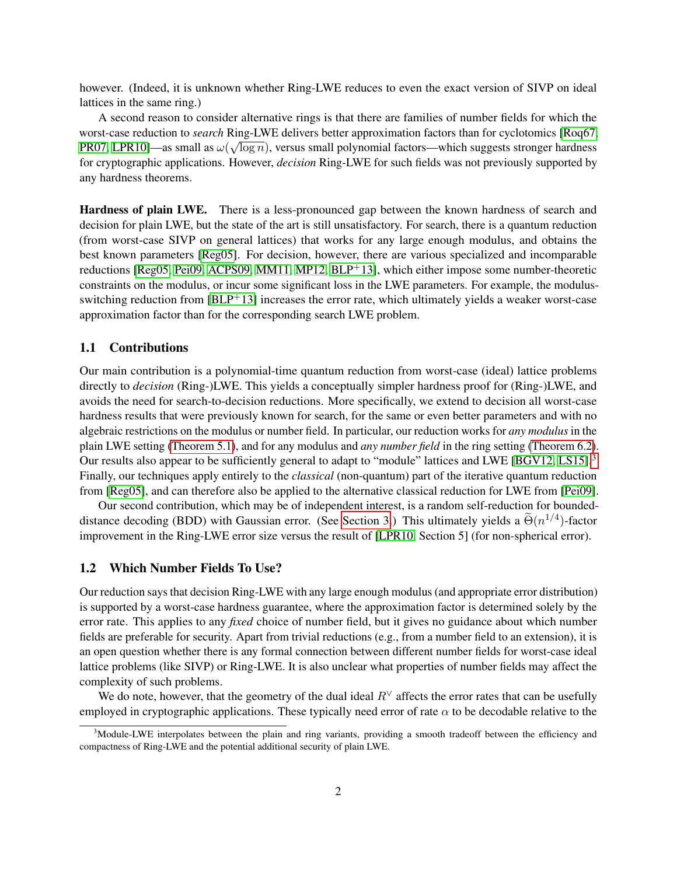however. (Indeed, it is unknown whether Ring-LWE reduces to even the exact version of SIVP on ideal lattices in the same ring.)

A second reason to consider alternative rings is that there are families of number fields for which the worst-case reduction to *search* Ring-LWE delivers better approximation factors than for cyclotomics [\[Roq67,](#page-26-4) [PR07,](#page-25-7) [LPR10\]](#page-25-0)—as small as  $\omega(\sqrt{\log n})$ , versus small polynomial factors—which suggests stronger hardness for cryptographic applications. However, *decision* Ring-LWE for such fields was not previously supported by any hardness theorems.

Hardness of plain LWE. There is a less-pronounced gap between the known hardness of search and decision for plain LWE, but the state of the art is still unsatisfactory. For search, there is a quantum reduction (from worst-case SIVP on general lattices) that works for any large enough modulus, and obtains the best known parameters [\[Reg05\]](#page-26-0). For decision, however, there are various specialized and incomparable reductions [\[Reg05,](#page-26-0) [Pei09,](#page-25-6) [ACPS09,](#page-24-10) [MM11,](#page-25-8) [MP12,](#page-25-9) [BLP](#page-24-5)<sup>+</sup>13], which either impose some number-theoretic constraints on the modulus, or incur some significant loss in the LWE parameters. For example, the modulusswitching reduction from  $[BLP+13]$  $[BLP+13]$  increases the error rate, which ultimately yields a weaker worst-case approximation factor than for the corresponding search LWE problem.

### 1.1 Contributions

Our main contribution is a polynomial-time quantum reduction from worst-case (ideal) lattice problems directly to *decision* (Ring-)LWE. This yields a conceptually simpler hardness proof for (Ring-)LWE, and avoids the need for search-to-decision reductions. More specifically, we extend to decision all worst-case hardness results that were previously known for search, for the same or even better parameters and with no algebraic restrictions on the modulus or number field. In particular, our reduction works for *any modulus* in the plain LWE setting [\(Theorem 5.1\)](#page-16-0), and for any modulus and *any number field* in the ring setting [\(Theorem 6.2\)](#page-18-0). Our results also appear to be sufficiently general to adapt to "module" lattices and LWE [\[BGV12,](#page-24-1) [LS15\]](#page-25-5).<sup>[3](#page-2-0)</sup> Finally, our techniques apply entirely to the *classical* (non-quantum) part of the iterative quantum reduction from [\[Reg05\]](#page-26-0), and can therefore also be applied to the alternative classical reduction for LWE from [\[Pei09\]](#page-25-6).

Our second contribution, which may be of independent interest, is a random self-reduction for bounded-distance decoding (BDD) with Gaussian error. (See [Section 3.](#page-10-0)) This ultimately yields a  $\tilde{\Theta}(n^{1/4})$ -factor improvement in the Ring-LWE error size versus the result of [\[LPR10,](#page-25-0) Section 5] (for non-spherical error).

### 1.2 Which Number Fields To Use?

Our reduction says that decision Ring-LWE with any large enough modulus (and appropriate error distribution) is supported by a worst-case hardness guarantee, where the approximation factor is determined solely by the error rate. This applies to any *fixed* choice of number field, but it gives no guidance about which number fields are preferable for security. Apart from trivial reductions (e.g., from a number field to an extension), it is an open question whether there is any formal connection between different number fields for worst-case ideal lattice problems (like SIVP) or Ring-LWE. It is also unclear what properties of number fields may affect the complexity of such problems.

We do note, however, that the geometry of the dual ideal  $R<sup>∨</sup>$  affects the error rates that can be usefully employed in cryptographic applications. These typically need error of rate  $\alpha$  to be decodable relative to the

<span id="page-2-0"></span><sup>&</sup>lt;sup>3</sup>Module-LWE interpolates between the plain and ring variants, providing a smooth tradeoff between the efficiency and compactness of Ring-LWE and the potential additional security of plain LWE.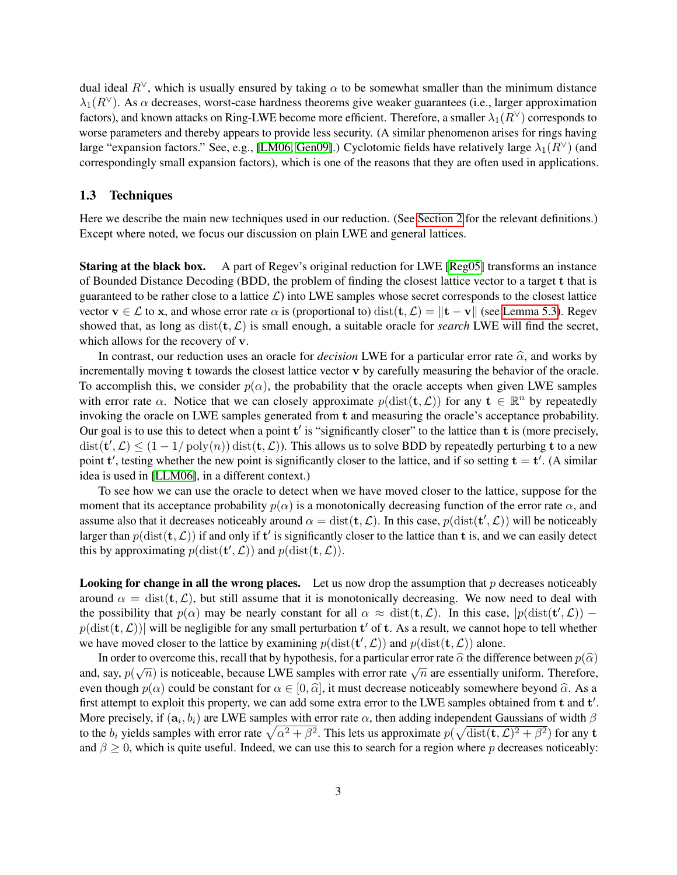dual ideal  $R^{\vee}$ , which is usually ensured by taking  $\alpha$  to be somewhat smaller than the minimum distance  $\lambda_1(R^{\vee})$ . As  $\alpha$  decreases, worst-case hardness theorems give weaker guarantees (i.e., larger approximation factors), and known attacks on Ring-LWE become more efficient. Therefore, a smaller  $\lambda_1(R^{\vee})$  corresponds to worse parameters and thereby appears to provide less security. (A similar phenomenon arises for rings having large "expansion factors." See, e.g., [\[LM06,](#page-25-10) [Gen09\]](#page-24-11).) Cyclotomic fields have relatively large  $\lambda_1(R^{\vee})$  (and correspondingly small expansion factors), which is one of the reasons that they are often used in applications.

#### <span id="page-3-0"></span>1.3 Techniques

Here we describe the main new techniques used in our reduction. (See [Section 2](#page-5-0) for the relevant definitions.) Except where noted, we focus our discussion on plain LWE and general lattices.

Staring at the black box. A part of Regev's original reduction for LWE [\[Reg05\]](#page-26-0) transforms an instance of Bounded Distance Decoding (BDD, the problem of finding the closest lattice vector to a target t that is guaranteed to be rather close to a lattice  $\mathcal{L}$ ) into LWE samples whose secret corresponds to the closest lattice vector  $\mathbf{v} \in \mathcal{L}$  to x, and whose error rate  $\alpha$  is (proportional to) dist(t,  $\mathcal{L}$ ) =  $\|\mathbf{t} - \mathbf{v}\|$  (see [Lemma 5.3\)](#page-16-1). Regev showed that, as long as  $dist(t, \mathcal{L})$  is small enough, a suitable oracle for *search* LWE will find the secret, which allows for the recovery of **v**.

In contrast, our reduction uses an oracle for *decision* LWE for a particular error rate  $\hat{\alpha}$ , and works by incrementally moving t towards the closest lattice vector v by carefully measuring the behavior of the oracle. To accomplish this, we consider  $p(\alpha)$ , the probability that the oracle accepts when given LWE samples with error rate  $\alpha$ . Notice that we can closely approximate  $p(\text{dist}(\mathbf{t}, \mathcal{L}))$  for any  $\mathbf{t} \in \mathbb{R}^n$  by repeatedly invoking the oracle on LWE samples generated from t and measuring the oracle's acceptance probability. Our goal is to use this to detect when a point  $t'$  is "significantly closer" to the lattice than  $t$  is (more precisely,  $dist(t', \mathcal{L}) \leq (1 - 1/\text{poly}(n)) \text{dist}(\mathbf{t}, \mathcal{L})$ . This allows us to solve BDD by repeatedly perturbing t to a new point  $t'$ , testing whether the new point is significantly closer to the lattice, and if so setting  $t = t'$ . (A similar idea is used in [\[LLM06\]](#page-25-11), in a different context.)

To see how we can use the oracle to detect when we have moved closer to the lattice, suppose for the moment that its acceptance probability  $p(\alpha)$  is a monotonically decreasing function of the error rate  $\alpha$ , and assume also that it decreases noticeably around  $\alpha = \text{dist}(\mathbf{t}, \mathcal{L})$ . In this case,  $p(\text{dist}(\mathbf{t}', \mathcal{L}))$  will be noticeably larger than  $p(\text{dist}(\mathbf{t}, \mathcal{L}))$  if and only if t' is significantly closer to the lattice than t is, and we can easily detect this by approximating  $p(\text{dist}(\mathbf{t}', \mathcal{L}))$  and  $p(\text{dist}(\mathbf{t}, \mathcal{L}))$ .

**Looking for change in all the wrong places.** Let us now drop the assumption that  $p$  decreases noticeably around  $\alpha = \text{dist}(\mathbf{t}, \mathcal{L})$ , but still assume that it is monotonically decreasing. We now need to deal with the possibility that  $p(\alpha)$  may be nearly constant for all  $\alpha \approx \text{dist}(\mathbf{t}, \mathcal{L})$ . In this case,  $|p(\text{dist}(\mathbf{t}', \mathcal{L})) - p(\text{dist}(\mathbf{t}', \mathcal{L}))|$  $p(\text{dist}(\mathbf{t}, \mathcal{L}))$  will be negligible for any small perturbation  $\mathbf{t}'$  of  $\mathbf{t}$ . As a result, we cannot hope to tell whether we have moved closer to the lattice by examining  $p(\text{dist}(\mathbf{t}', \mathcal{L}))$  and  $p(\text{dist}(\mathbf{t}, \mathcal{L}))$  alone.

In order to overcome this, recall that by hypothesis, for a particular error rate  $\hat{\alpha}$  the difference between  $p(\hat{\alpha})$ <br>
Solve  $p(\hat{\alpha})$  is noticeable, because I WE samples with error rate  $\sqrt{n}$  are assontially uniform. and, say,  $p(\sqrt{n})$  is noticeable, because LWE samples with error rate  $\sqrt{n}$  are essentially uniform. Therefore, even though  $p(\alpha)$  could be constant for  $\alpha \in [0, \hat{\alpha}]$ , it must decrease noticeably somewhere beyond  $\hat{\alpha}$ . As a first attempt to exploit this property, we can add some extra error to the LWE samples obtained from  $t$  and  $t'$ . More precisely, if  $(a_i, b_i)$  are LWE samples with error rate  $\alpha$ , then adding independent Gaussians of width  $\beta$ to the  $b_i$  yields samples with error rate  $\sqrt{\alpha^2 + \beta^2}$ . This lets us approximate  $p(\sqrt{\text{dist}(\mathbf{t}, \mathcal{L})^2 + \beta^2})$  for any  $\mathbf{t}$ and  $\beta \geq 0$ , which is quite useful. Indeed, we can use this to search for a region where p decreases noticeably: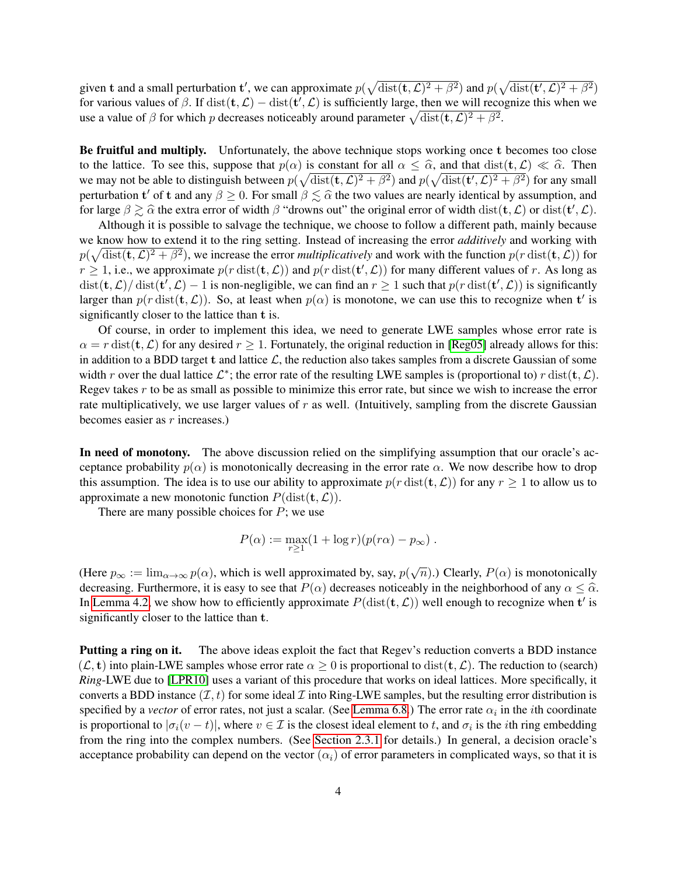given t and a small perturbation t', we can approximate  $p(\sqrt{\text{dist}(\mathbf{t}, \mathcal{L})^2 + \beta^2})$  and  $p(\sqrt{\text{dist}(\mathbf{t}', \mathcal{L})^2 + \beta^2})$ for various values of  $\beta$ . If  $dist(t, \mathcal{L}) - dist(t', \mathcal{L})$  is sufficiently large, then we will recognize this when we use a value of  $\beta$  for which p decreases noticeably around parameter  $\sqrt{\text{dist}(\mathbf{t}, \mathcal{L})^2 + \beta^2}$ .

Be fruitful and multiply. Unfortunately, the above technique stops working once t becomes too close to the lattice. To see this, suppose that  $p(\alpha)$  is constant for all  $\alpha \leq \hat{\alpha}$ , and that dist(t,  $\mathcal{L}) \ll \hat{\alpha}$ . Then we may not be able to distinguish between  $p(\sqrt{\text{dist}(\mathbf{t}, \mathcal{L})^2 + \beta^2})$  and  $p(\sqrt{\text{dist}(\mathbf{t}', \mathcal{L})^2 + \beta^2})$  for any small perturbation t' of t and any  $\beta \ge 0$ . For small  $\beta \lesssim \widehat{\alpha}$  the two values are nearly identical by assumption, and for large  $\beta > \widehat{\alpha}$  the extra error of width  $\beta$  "drowns out" the existing error of width digt(t, C for large  $\beta \gtrsim \hat{\alpha}$  the extra error of width  $\beta$  "drowns out" the original error of width dist( $\mathbf{t}, \mathcal{L}$ ) or dist( $\mathbf{t}', \mathcal{L}$ ).

Although it is possible to salvage the technique, we choose to follow a different path, mainly because we know how to extend it to the ring setting. Instead of increasing the error *additively* and working with  $p(\sqrt{\text{dist}(\mathbf{t}, \mathcal{L})^2 + \beta^2})$ , we increase the error *multiplicatively* and work with the function  $p(r \text{dist}(\mathbf{t}, \mathcal{L}))$  for  $r \ge 1$ , i.e., we approximate  $p(r \text{ dist}(\mathbf{t}, \mathcal{L}))$  and  $p(r \text{ dist}(\mathbf{t}', \mathcal{L}))$  for many different values of r. As long as  $dist(t, \mathcal{L})/dist(t', \mathcal{L}) - 1$  is non-negligible, we can find an  $r \ge 1$  such that  $p(r \text{ dist}(t', \mathcal{L}))$  is significantly larger than  $p(r \text{ dist}(\mathbf{t}, \mathcal{L}))$ . So, at least when  $p(\alpha)$  is monotone, we can use this to recognize when t' is significantly closer to the lattice than t is.

Of course, in order to implement this idea, we need to generate LWE samples whose error rate is  $\alpha = r$  dist(**t**, L) for any desired  $r \geq 1$ . Fortunately, the original reduction in [\[Reg05\]](#page-26-0) already allows for this: in addition to a BDD target t and lattice  $\mathcal{L}$ , the reduction also takes samples from a discrete Gaussian of some width r over the dual lattice  $\mathcal{L}^*$ ; the error rate of the resulting LWE samples is (proportional to) r dist(t,  $\mathcal{L}$ ). Regev takes r to be as small as possible to minimize this error rate, but since we wish to increase the error rate multiplicatively, we use larger values of r as well. (Intuitively, sampling from the discrete Gaussian becomes easier as  $r$  increases.)

In need of monotony. The above discussion relied on the simplifying assumption that our oracle's acceptance probability  $p(\alpha)$  is monotonically decreasing in the error rate  $\alpha$ . We now describe how to drop this assumption. The idea is to use our ability to approximate  $p(r \text{ dist}(\mathbf{t}, \mathcal{L}))$  for any  $r \geq 1$  to allow us to approximate a new monotonic function  $P(\text{dist}(\mathbf{t}, \mathcal{L}))$ .

There are many possible choices for  $P$ ; we use

$$
P(\alpha) := \max_{r \ge 1} (1 + \log r)(p(r\alpha) - p_{\infty}).
$$

(Here  $p_{\infty} := \lim_{\alpha \to \infty} p(\alpha)$ , which is well approximated by, say,  $p(\sqrt{n})$ .) Clearly,  $P(\alpha)$  is monotonically decreasing. Furthermore, it is easy to see that  $P(\alpha)$  decreases noticeably in the neighborhood of any  $\alpha \leq \hat{\alpha}$ . In [Lemma 4.2,](#page-11-0) we show how to efficiently approximate  $P(\text{dist}(\mathbf{t}, \mathcal{L}))$  well enough to recognize when  $\mathbf{t}'$  is significantly closer to the lattice than t.

Putting a ring on it. The above ideas exploit the fact that Regev's reduction converts a BDD instance  $(\mathcal{L}, \mathbf{t})$  into plain-LWE samples whose error rate  $\alpha \geq 0$  is proportional to dist $(\mathbf{t}, \mathcal{L})$ . The reduction to (search) *Ring*-LWE due to [\[LPR10\]](#page-25-0) uses a variant of this procedure that works on ideal lattices. More specifically, it converts a BDD instance  $(\mathcal{I}, t)$  for some ideal  $\mathcal I$  into Ring-LWE samples, but the resulting error distribution is specified by a *vector* of error rates, not just a scalar. (See [Lemma 6.8.](#page-20-0)) The error rate  $\alpha_i$  in the *i*th coordinate is proportional to  $|\sigma_i(v-t)|$ , where  $v \in \mathcal{I}$  is the closest ideal element to t, and  $\sigma_i$  is the *i*th ring embedding from the ring into the complex numbers. (See [Section 2.3.1](#page-8-0) for details.) In general, a decision oracle's acceptance probability can depend on the vector  $(\alpha_i)$  of error parameters in complicated ways, so that it is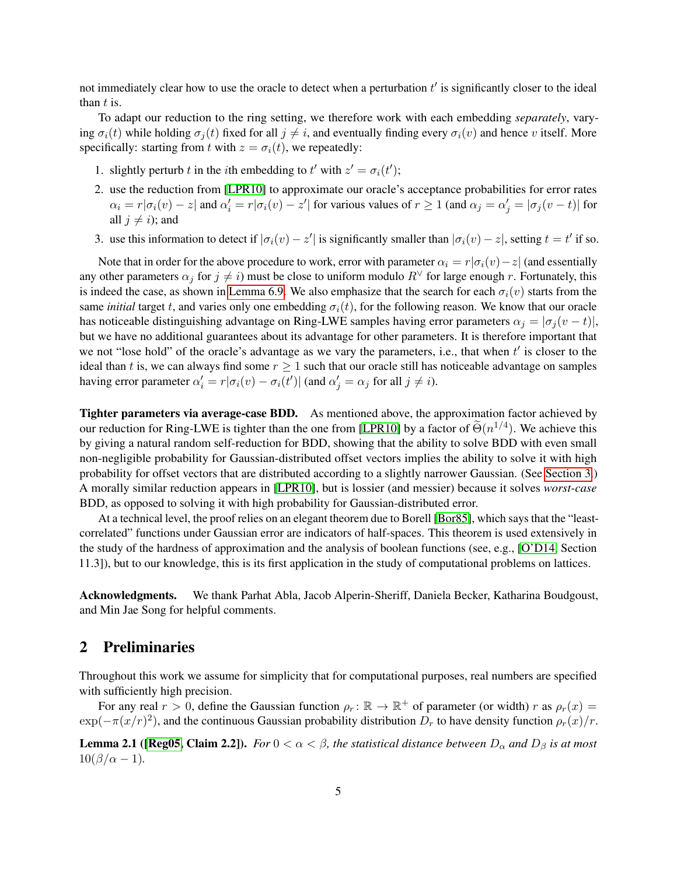not immediately clear how to use the oracle to detect when a perturbation  $t'$  is significantly closer to the ideal than  $t$  is.

To adapt our reduction to the ring setting, we therefore work with each embedding *separately*, varying  $\sigma_i(t)$  while holding  $\sigma_i(t)$  fixed for all  $j \neq i$ , and eventually finding every  $\sigma_i(v)$  and hence v itself. More specifically: starting from t with  $z = \sigma_i(t)$ , we repeatedly:

- 1. slightly perturb t in the *i*th embedding to t' with  $z' = \sigma_i(t')$ ;
- 2. use the reduction from [\[LPR10\]](#page-25-0) to approximate our oracle's acceptance probabilities for error rates  $\alpha_i = r|\sigma_i(v) - z|$  and  $\alpha'_i = r|\sigma_i(v) - z'|$  for various values of  $r \ge 1$  (and  $\alpha_j = \alpha'_j = |\sigma_j(v - t)|$  for all  $j \neq i$ ; and
- 3. use this information to detect if  $|\sigma_i(v) z'|$  is significantly smaller than  $|\sigma_i(v) z|$ , setting  $t = t'$  if so.

Note that in order for the above procedure to work, error with parameter  $\alpha_i = r|\sigma_i(v)-z|$  (and essentially any other parameters  $\alpha_j$  for  $j \neq i$ ) must be close to uniform modulo  $R^\vee$  for large enough r. Fortunately, this is indeed the case, as shown in [Lemma 6.9.](#page-20-1) We also emphasize that the search for each  $\sigma_i(v)$  starts from the same *initial* target t, and varies only one embedding  $\sigma_i(t)$ , for the following reason. We know that our oracle has noticeable distinguishing advantage on Ring-LWE samples having error parameters  $\alpha_j = |\sigma_j(v - t)|$ , but we have no additional guarantees about its advantage for other parameters. It is therefore important that we not "lose hold" of the oracle's advantage as we vary the parameters, i.e., that when  $t'$  is closer to the ideal than t is, we can always find some  $r \geq 1$  such that our oracle still has noticeable advantage on samples having error parameter  $\alpha'_i = r|\sigma_i(v) - \sigma_i(t')|$  (and  $\alpha'_j = \alpha_j$  for all  $j \neq i$ ).

Tighter parameters via average-case BDD. As mentioned above, the approximation factor achieved by our reduction for Ring-LWE is tighter than the one from [\[LPR10\]](#page-25-0) by a factor of  $\tilde{\Theta}(n^{1/4})$ . We achieve this by giving a natural random self-reduction for BDD, showing that the ability to solve BDD with even small non-negligible probability for Gaussian-distributed offset vectors implies the ability to solve it with high probability for offset vectors that are distributed according to a slightly narrower Gaussian. (See [Section 3.](#page-10-0)) A morally similar reduction appears in [\[LPR10\]](#page-25-0), but is lossier (and messier) because it solves *worst-case* BDD, as opposed to solving it with high probability for Gaussian-distributed error.

At a technical level, the proof relies on an elegant theorem due to Borell [\[Bor85\]](#page-24-12), which says that the "leastcorrelated" functions under Gaussian error are indicators of half-spaces. This theorem is used extensively in the study of the hardness of approximation and the analysis of boolean functions (see, e.g., [\[O'D14,](#page-25-12) Section 11.3]), but to our knowledge, this is its first application in the study of computational problems on lattices.

Acknowledgments. We thank Parhat Abla, Jacob Alperin-Sheriff, Daniela Becker, Katharina Boudgoust, and Min Jae Song for helpful comments.

### <span id="page-5-0"></span>2 Preliminaries

Throughout this work we assume for simplicity that for computational purposes, real numbers are specified with sufficiently high precision.

For any real  $r > 0$ , define the Gaussian function  $\rho_r : \mathbb{R} \to \mathbb{R}^+$  of parameter (or width) r as  $\rho_r(x) =$  $\exp(-\pi (x/r)^2)$ , and the continuous Gaussian probability distribution  $D_r$  to have density function  $\rho_r(x)/r$ .

<span id="page-5-1"></span>**Lemma 2.1 ([\[Reg05,](#page-26-0) Claim 2.2]).** *For*  $0 < \alpha < \beta$ , the statistical distance between  $D_{\alpha}$  and  $D_{\beta}$  is at most  $10(\beta/\alpha-1)$ .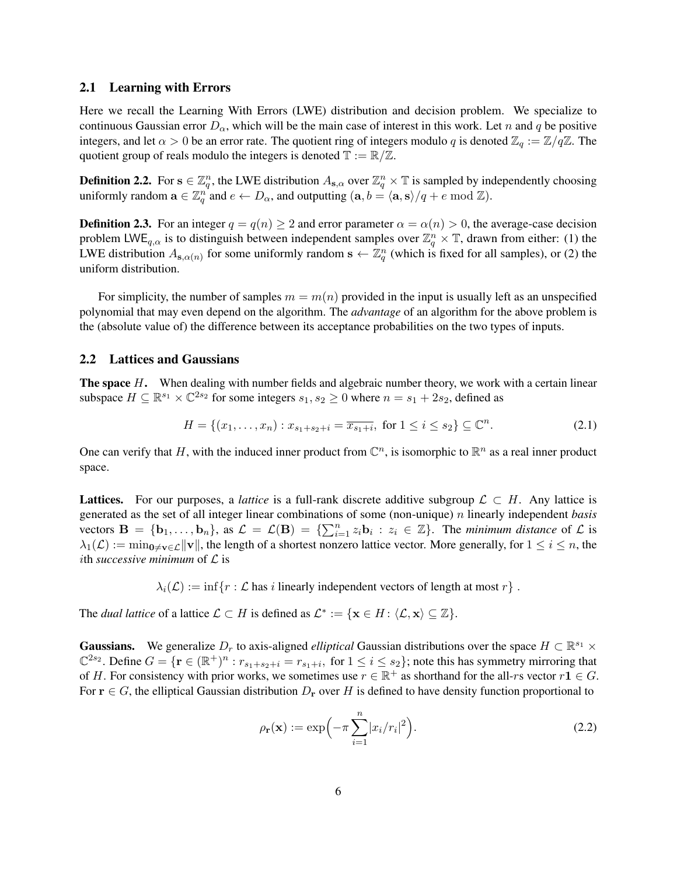#### 2.1 Learning with Errors

Here we recall the Learning With Errors (LWE) distribution and decision problem. We specialize to continuous Gaussian error  $D_{\alpha}$ , which will be the main case of interest in this work. Let n and q be positive integers, and let  $\alpha > 0$  be an error rate. The quotient ring of integers modulo q is denoted  $\mathbb{Z}_q := \mathbb{Z}/q\mathbb{Z}$ . The quotient group of reals modulo the integers is denoted  $\mathbb{T} := \mathbb{R}/\mathbb{Z}$ .

**Definition 2.2.** For  $s \in \mathbb{Z}_q^n$ , the LWE distribution  $A_{s,\alpha}$  over  $\mathbb{Z}_q^n \times \mathbb{T}$  is sampled by independently choosing uniformly random  $\mathbf{a} \in \mathbb{Z}_q^{n^2}$  and  $e \leftarrow D_\alpha$ , and outputting  $(\mathbf{a}, b = \langle \mathbf{a}, \mathbf{s} \rangle / q + e \mod \mathbb{Z})$ .

**Definition 2.3.** For an integer  $q = q(n) \ge 2$  and error parameter  $\alpha = \alpha(n) > 0$ , the average-case decision problem LWE<sub>q, $\alpha$ </sub> is to distinguish between independent samples over  $\mathbb{Z}_q^n \times \mathbb{T}$ , drawn from either: (1) the LWE distribution  $A_{s,\alpha(n)}$  for some uniformly random  $s \leftarrow \mathbb{Z}_q^n$  (which is fixed for all samples), or (2) the uniform distribution.

For simplicity, the number of samples  $m = m(n)$  provided in the input is usually left as an unspecified polynomial that may even depend on the algorithm. The *advantage* of an algorithm for the above problem is the (absolute value of) the difference between its acceptance probabilities on the two types of inputs.

### <span id="page-6-0"></span>2.2 Lattices and Gaussians

The space H. When dealing with number fields and algebraic number theory, we work with a certain linear subspace  $H \subseteq \mathbb{R}^{s_1} \times \mathbb{C}^{2s_2}$  for some integers  $s_1, s_2 \ge 0$  where  $n = s_1 + 2s_2$ , defined as

$$
H = \{(x_1, \dots, x_n) : x_{s_1 + s_2 + i} = \overline{x_{s_1 + i}}, \text{ for } 1 \le i \le s_2\} \subseteq \mathbb{C}^n.
$$
 (2.1)

One can verify that H, with the induced inner product from  $\mathbb{C}^n$ , is isomorphic to  $\mathbb{R}^n$  as a real inner product space.

Lattices. For our purposes, a *lattice* is a full-rank discrete additive subgroup  $\mathcal{L} \subset H$ . Any lattice is generated as the set of all integer linear combinations of some (non-unique) n linearly independent *basis* vectors  $\mathbf{B} = \{\mathbf{b}_1, \dots, \mathbf{b}_n\}$ , as  $\mathcal{L} = \mathcal{L}(\mathbf{B}) = \{\sum_{i=1}^n z_i \mathbf{b}_i : z_i \in \mathbb{Z}\}$ . The *minimum distance* of  $\mathcal{L}$  is  $\lambda_1(\mathcal{L}) := \min_{0 \leq v \in \mathcal{L}} ||v||$ , the length of a shortest nonzero lattice vector. More generally, for  $1 \leq i \leq n$ , the ith *successive minimum* of L is

 $\lambda_i(\mathcal{L}) := \inf \{ r : \mathcal{L}$  has i linearly independent vectors of length at most  $r \}$ .

The *dual lattice* of a lattice  $\mathcal{L} \subset H$  is defined as  $\mathcal{L}^* := \{ \mathbf{x} \in H : \langle \mathcal{L}, \mathbf{x} \rangle \subseteq \mathbb{Z} \}.$ 

**Gaussians.** We generalize  $D_r$  to axis-aligned *elliptical* Gaussian distributions over the space  $H \subset \mathbb{R}^{s_1} \times$  $\mathbb{C}^{2s_2}$ . Define  $G = \{ \mathbf{r} \in (\mathbb{R}^+)^n : r_{s_1+s_2+i} = r_{s_1+i}, \text{ for } 1 \le i \le s_2 \}$ ; note this has symmetry mirroring that of H. For consistency with prior works, we sometimes use  $r \in \mathbb{R}^+$  as shorthand for the all-rs vector  $r\mathbf{1} \in G$ . For  $r \in G$ , the elliptical Gaussian distribution  $D_r$  over H is defined to have density function proportional to

$$
\rho_{\mathbf{r}}(\mathbf{x}) := \exp\left(-\pi \sum_{i=1}^{n} |x_i/r_i|^2\right).
$$
 (2.2)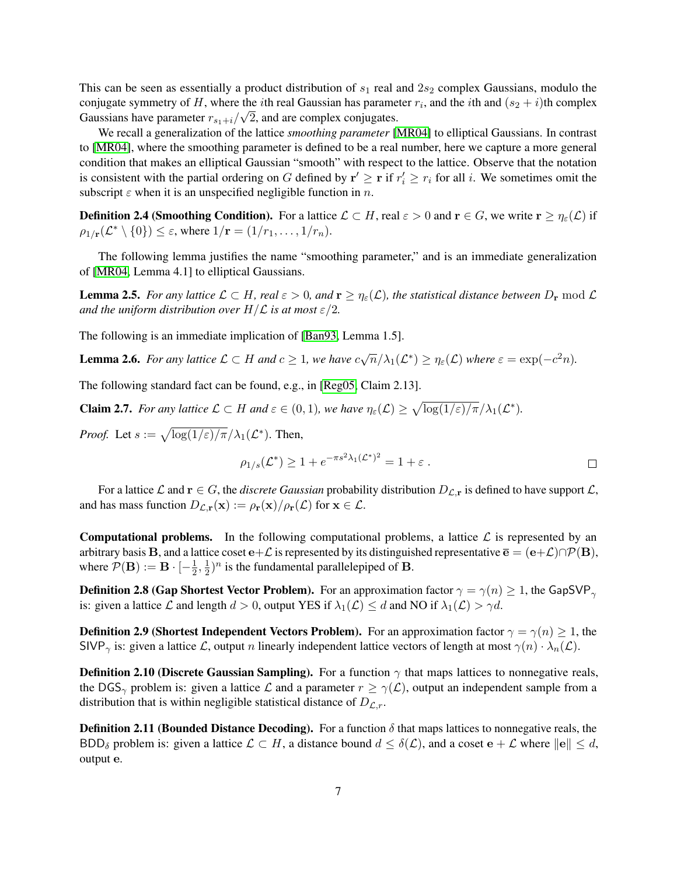This can be seen as essentially a product distribution of  $s_1$  real and  $2s_2$  complex Gaussians, modulo the conjugate symmetry of H, where the *i*th real Gaussian has parameter  $r_i$ , and the *i*th and  $(s_2 + i)$ th complex Gaussians have parameter  $r_{s_1+i}/\sqrt{2}$ , and are complex conjugates.

We recall a generalization of the lattice *smoothing parameter* [\[MR04\]](#page-25-13) to elliptical Gaussians. In contrast to [\[MR04\]](#page-25-13), where the smoothing parameter is defined to be a real number, here we capture a more general condition that makes an elliptical Gaussian "smooth" with respect to the lattice. Observe that the notation is consistent with the partial ordering on G defined by  $\mathbf{r}' \geq \mathbf{r}$  if  $r'_i \geq r_i$  for all i. We sometimes omit the subscript  $\varepsilon$  when it is an unspecified negligible function in n.

**Definition 2.4 (Smoothing Condition).** For a lattice  $\mathcal{L} \subset H$ , real  $\varepsilon > 0$  and  $\mathbf{r} \in G$ , we write  $\mathbf{r} \geq \eta_{\varepsilon}(\mathcal{L})$  if  $\rho_{1/\mathbf{r}}(\mathcal{L}^* \setminus \{0\}) \leq \varepsilon$ , where  $1/\mathbf{r} = (1/r_1, \ldots, 1/r_n)$ .

The following lemma justifies the name "smoothing parameter," and is an immediate generalization of [\[MR04,](#page-25-13) Lemma 4.1] to elliptical Gaussians.

<span id="page-7-3"></span>**Lemma 2.5.** *For any lattice*  $\mathcal{L} \subset H$ *, real*  $\varepsilon > 0$ *, and*  $\mathbf{r} \geq \eta_{\varepsilon}(\mathcal{L})$ *, the statistical distance between*  $D_{\mathbf{r}}$  mod  $\mathcal{L}$ *and the uniform distribution over*  $H/L$  *is at most*  $\epsilon/2$ *.* 

The following is an immediate implication of [\[Ban93,](#page-24-13) Lemma 1.5].

<span id="page-7-0"></span>**Lemma 2.6.** For any lattice  $\mathcal{L} \subset H$  and  $c \geq 1$ , we have  $c\sqrt{n}/\lambda_1(\mathcal{L}^*) \geq \eta_{\varepsilon}(\mathcal{L})$  where  $\varepsilon = \exp(-c^2 n)$ .

The following standard fact can be found, e.g., in [\[Reg05,](#page-26-0) Claim 2.13].

<span id="page-7-2"></span>**Claim 2.7.** For any lattice  $\mathcal{L} \subset H$  and  $\varepsilon \in (0,1)$ , we have  $\eta_{\varepsilon}(\mathcal{L}) \ge \sqrt{\log(1/\varepsilon)/\pi}/\lambda_1(\mathcal{L}^*).$ 

*Proof.* Let  $s := \sqrt{\log(1/\varepsilon)/\pi}/\lambda_1(\mathcal{L}^*)$ . Then,

$$
\rho_{1/s}(\mathcal{L}^*) \ge 1 + e^{-\pi s^2 \lambda_1 (\mathcal{L}^*)^2} = 1 + \varepsilon
$$
.

For a lattice L and  $r \in G$ , the *discrete Gaussian* probability distribution  $D_{\mathcal{L},r}$  is defined to have support L, and has mass function  $D_{\mathcal{L},\mathbf{r}}(\mathbf{x}) := \rho_{\mathbf{r}}(\mathbf{x})/\rho_{\mathbf{r}}(\mathcal{L})$  for  $\mathbf{x} \in \mathcal{L}$ .

**Computational problems.** In the following computational problems, a lattice  $\mathcal{L}$  is represented by an arbitrary basis **B**, and a lattice coset  $e+\mathcal{L}$  is represented by its distinguished representative  $\overline{e} = (e+\mathcal{L}) \cap \mathcal{P}(\mathbf{B})$ , where  $\mathcal{P}(\mathbf{B}) := \mathbf{B} \cdot \left[-\frac{1}{2}\right]$  $\frac{1}{2}, \frac{1}{2}$  $\frac{1}{2}$ )<sup>*n*</sup> is the fundamental parallelepiped of **B**.

**Definition 2.8 (Gap Shortest Vector Problem).** For an approximation factor  $\gamma = \gamma(n) \geq 1$ , the GapSVP<sub> $\gamma$ </sub> is: given a lattice  $\mathcal L$  and length  $d > 0$ , output YES if  $\lambda_1(\mathcal L) \leq d$  and NO if  $\lambda_1(\mathcal L) > \gamma d$ .

**Definition 2.9 (Shortest Independent Vectors Problem).** For an approximation factor  $\gamma = \gamma(n) \ge 1$ , the SIVP<sub> $\gamma$ </sub> is: given a lattice L, output n linearly independent lattice vectors of length at most  $\gamma(n) \cdot \lambda_n(\mathcal{L})$ .

**Definition 2.10 (Discrete Gaussian Sampling).** For a function  $\gamma$  that maps lattices to nonnegative reals, the DGS<sub>γ</sub> problem is: given a lattice L and a parameter  $r \geq \gamma(\mathcal{L})$ , output an independent sample from a distribution that is within negligible statistical distance of  $D_{\mathcal{L},r}$ .

<span id="page-7-1"></span>**Definition 2.11 (Bounded Distance Decoding).** For a function  $\delta$  that maps lattices to nonnegative reals, the BDD<sub>δ</sub> problem is: given a lattice  $\mathcal{L} \subset H$ , a distance bound  $d \leq \delta(\mathcal{L})$ , and a coset  $e + \mathcal{L}$  where  $||e|| \leq d$ , output e.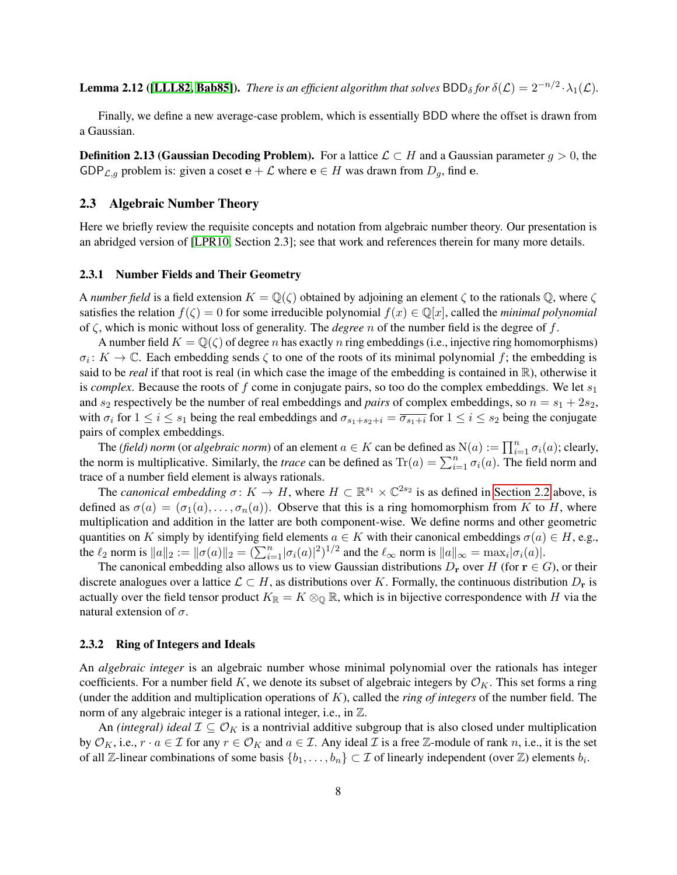**Lemma 2.12** ([\[LLL82,](#page-25-14) [Bab85\]](#page-24-14)). *There is an efficient algorithm that solves*  $BDD_\delta$  *for*  $\delta(\mathcal{L}) = 2^{-n/2} \cdot \lambda_1(\mathcal{L})$ .

Finally, we define a new average-case problem, which is essentially BDD where the offset is drawn from a Gaussian.

**Definition 2.13 (Gaussian Decoding Problem).** For a lattice  $\mathcal{L} \subset H$  and a Gaussian parameter  $g > 0$ , the GDP<sub>L,q</sub> problem is: given a coset  $e + \mathcal{L}$  where  $e \in H$  was drawn from  $D_q$ , find e.

#### <span id="page-8-1"></span>2.3 Algebraic Number Theory

Here we briefly review the requisite concepts and notation from algebraic number theory. Our presentation is an abridged version of [\[LPR10,](#page-25-0) Section 2.3]; see that work and references therein for many more details.

#### <span id="page-8-0"></span>2.3.1 Number Fields and Their Geometry

A *number field* is a field extension  $K = \mathbb{Q}(\zeta)$  obtained by adjoining an element  $\zeta$  to the rationals  $\mathbb{Q}$ , where  $\zeta$ satisfies the relation  $f(\zeta) = 0$  for some irreducible polynomial  $f(x) \in \mathbb{Q}[x]$ , called the *minimal polynomial* of ζ, which is monic without loss of generality. The *degree* n of the number field is the degree of f.

A number field  $K = \mathbb{Q}(\zeta)$  of degree n has exactly n ring embeddings (i.e., injective ring homomorphisms)  $\sigma_i: K \to \mathbb{C}$ . Each embedding sends  $\zeta$  to one of the roots of its minimal polynomial f; the embedding is said to be *real* if that root is real (in which case the image of the embedding is contained in R), otherwise it is *complex*. Because the roots of f come in conjugate pairs, so too do the complex embeddings. We let  $s_1$ and  $s_2$  respectively be the number of real embeddings and *pairs* of complex embeddings, so  $n = s_1 + 2s_2$ , with  $\sigma_i$  for  $1 \le i \le s_1$  being the real embeddings and  $\sigma_{s_1+s_2+i} = \overline{\sigma_{s_1+i}}$  for  $1 \le i \le s_2$  being the conjugate pairs of complex embeddings.

The *(field) norm* (or *algebraic norm*) of an element  $a \in K$  can be defined as  $N(a) := \prod_{i=1}^n \sigma_i(a)$ ; clearly, the norm is multiplicative. Similarly, the *trace* can be defined as  $Tr(a) = \sum_{i=1}^{n} \sigma_i(a)$ . The field norm and trace of a number field element is always rationals.

The *canonical embedding*  $\sigma: K \to H$ , where  $H \subset \mathbb{R}^{s_1} \times \mathbb{C}^{2s_2}$  is as defined in [Section 2.2](#page-6-0) above, is defined as  $\sigma(a) = (\sigma_1(a), \ldots, \sigma_n(a))$ . Observe that this is a ring homomorphism from K to H, where multiplication and addition in the latter are both component-wise. We define norms and other geometric quantities on K simply by identifying field elements  $a \in K$  with their canonical embeddings  $\sigma(a) \in H$ , e.g., the  $\ell_2$  norm is  $||a||_2 := ||\sigma(a)||_2 = (\sum_{i=1}^n |\sigma_i(a)|^2)^{1/2}$  and the  $\ell_\infty$  norm is  $||a||_\infty = \max_i |\sigma_i(a)|$ .

The canonical embedding also allows us to view Gaussian distributions  $D_r$  over H (for  $r \in G$ ), or their discrete analogues over a lattice  $\mathcal{L} \subset H$ , as distributions over K. Formally, the continuous distribution  $D_r$  is actually over the field tensor product  $K_{\mathbb{R}} = K \otimes_{\mathbb{Q}} \mathbb{R}$ , which is in bijective correspondence with H via the natural extension of  $\sigma$ .

#### 2.3.2 Ring of Integers and Ideals

An *algebraic integer* is an algebraic number whose minimal polynomial over the rationals has integer coefficients. For a number field K, we denote its subset of algebraic integers by  $\mathcal{O}_K$ . This set forms a ring (under the addition and multiplication operations of K), called the *ring of integers* of the number field. The norm of any algebraic integer is a rational integer, i.e., in  $\mathbb{Z}$ .

An *(integral) ideal*  $\mathcal{I} \subseteq \mathcal{O}_K$  is a nontrivial additive subgroup that is also closed under multiplication by  $\mathcal{O}_K$ , i.e.,  $r \cdot a \in \mathcal{I}$  for any  $r \in \mathcal{O}_K$  and  $a \in \mathcal{I}$ . Any ideal  $\mathcal{I}$  is a free  $\mathbb{Z}$ -module of rank  $n$ , i.e., it is the set of all Z-linear combinations of some basis  $\{b_1, \ldots, b_n\} \subset \mathcal{I}$  of linearly independent (over Z) elements  $b_i$ .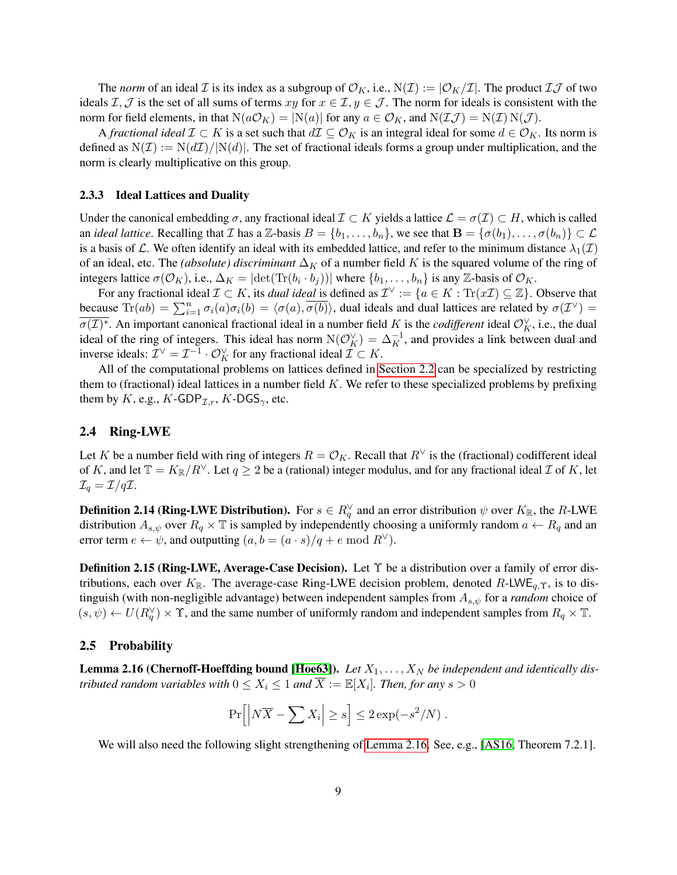The *norm* of an ideal *I* is its index as a subgroup of  $\mathcal{O}_K$ , i.e.,  $N(\mathcal{I}) := |\mathcal{O}_K/\mathcal{I}|$ . The product  $\mathcal{I}\mathcal{J}$  of two ideals I, J is the set of all sums of terms xy for  $x \in I$ ,  $y \in J$ . The norm for ideals is consistent with the norm for field elements, in that  $N(a\mathcal{O}_K) = |N(a)|$  for any  $a \in \mathcal{O}_K$ , and  $N(\mathcal{I}\mathcal{J}) = N(\mathcal{I})N(\mathcal{J})$ .

A *fractional ideal*  $\mathcal{I} \subset K$  is a set such that  $d\mathcal{I} \subseteq \mathcal{O}_K$  is an integral ideal for some  $d \in \mathcal{O}_K$ . Its norm is defined as  $N(\mathcal{I}) := N(d\mathcal{I})/|N(d)|$ . The set of fractional ideals forms a group under multiplication, and the norm is clearly multiplicative on this group.

#### 2.3.3 Ideal Lattices and Duality

Under the canonical embedding  $\sigma$ , any fractional ideal  $\mathcal{I} \subset K$  yields a lattice  $\mathcal{L} = \sigma(\mathcal{I}) \subset H$ , which is called an *ideal lattice*. Recalling that I has a  $\mathbb{Z}$ -basis  $B = \{b_1, \ldots, b_n\}$ , we see that  $\mathbf{B} = \{\sigma(b_1), \ldots, \sigma(b_n)\} \subset \mathcal{L}$ is a basis of L. We often identify an ideal with its embedded lattice, and refer to the minimum distance  $\lambda_1(\mathcal{I})$ of an ideal, etc. The *(absolute) discriminant*  $\Delta_K$  of a number field K is the squared volume of the ring of integers lattice  $\sigma(\mathcal{O}_K)$ , i.e.,  $\Delta_K = |\text{det}(\text{Tr}(b_i \cdot b_j))|$  where  $\{b_1, \ldots, b_n\}$  is any Z-basis of  $\mathcal{O}_K$ .

For any fractional ideal  $\mathcal{I} \subset K$ , its *dual ideal* is defined as  $\mathcal{I}^{\vee} := \{a \in K : \text{Tr}(\mathcal{I} \mathcal{I}) \subseteq \mathbb{Z}\}\.$  Observe that because  $\text{Tr}(ab) = \sum_{i=1}^n \sigma_i(a)\sigma_i(b) = \langle \sigma(a), \overline{\sigma(b)} \rangle$ , dual ideals and dual lattices are related by  $\sigma(\mathcal{I}^{\vee})$  $\overline{\sigma(\mathcal{I})^*}$ . An important canonical fractional ideal in a number field K is the *codifferent* ideal  $\mathcal{O}_K^{\vee}$ , i.e., the dual ideal of the ring of integers. This ideal has norm  $N(\mathcal{O}_K^{\vee}) = \Delta_K^{-1}$ , and provides a link between dual and inverse ideals:  $\mathcal{I}^{\vee} = \mathcal{I}^{-1} \cdot \mathcal{O}_K^{\vee}$  for any fractional ideal  $\mathcal{I} \subset K$ .

All of the computational problems on lattices defined in [Section 2.2](#page-6-0) can be specialized by restricting them to (fractional) ideal lattices in a number field  $K$ . We refer to these specialized problems by prefixing them by K, e.g., K-GDP<sub> $\mathcal{I}, r$ </sub>, K-DGS<sub> $\gamma$ </sub>, etc.

#### 2.4 Ring-LWE

Let K be a number field with ring of integers  $R = \mathcal{O}_K$ . Recall that  $R^{\vee}$  is the (fractional) codifferent ideal of K, and let  $\mathbb{T} = K_{\mathbb{R}}/R^{\vee}$ . Let  $q \ge 2$  be a (rational) integer modulus, and for any fractional ideal  $\mathcal I$  of K, let  $\mathcal{I}_q = \mathcal{I}/q\mathcal{I}.$ 

**Definition 2.14 (Ring-LWE Distribution).** For  $s \in R_q^{\vee}$  and an error distribution  $\psi$  over  $K_{\mathbb{R}}$ , the R-LWE distribution  $A_{s,\psi}$  over  $R_q \times \mathbb{T}$  is sampled by independently choosing a uniformly random  $a \leftarrow R_q$  and an error term  $e \leftarrow \psi$ , and outputting  $(a, b = (a \cdot s)/q + e \mod R^{\vee})$ .

<span id="page-9-2"></span>**Definition 2.15 (Ring-LWE, Average-Case Decision).** Let  $\Upsilon$  be a distribution over a family of error distributions, each over  $K_{\mathbb{R}}$ . The average-case Ring-LWE decision problem, denoted R-LWE<sub>q, Y</sub>, is to distinguish (with non-negligible advantage) between independent samples from As,ψ for a *random* choice of  $(s, \psi) \leftarrow U(R_q^{\vee}) \times \Upsilon$ , and the same number of uniformly random and independent samples from  $R_q \times \mathbb{T}$ .

#### 2.5 Probability

<span id="page-9-0"></span>**Lemma 2.16 (Chernoff-Hoeffding bound [\[Hoe63\]](#page-25-15)).** Let  $X_1, \ldots, X_N$  be independent and identically dis*tributed random variables with*  $0 \leq X_i \leq 1$  *and*  $\overline{X} := \mathbb{E}[X_i]$ *. Then, for any*  $s > 0$ 

$$
\Pr\Big[\Big|N\overline{X} - \sum X_i\Big| \ge s\Big] \le 2\exp(-s^2/N) .
$$

<span id="page-9-1"></span>We will also need the following slight strengthening of [Lemma 2.16.](#page-9-0) See, e.g., [\[AS16,](#page-24-15) Theorem 7.2.1].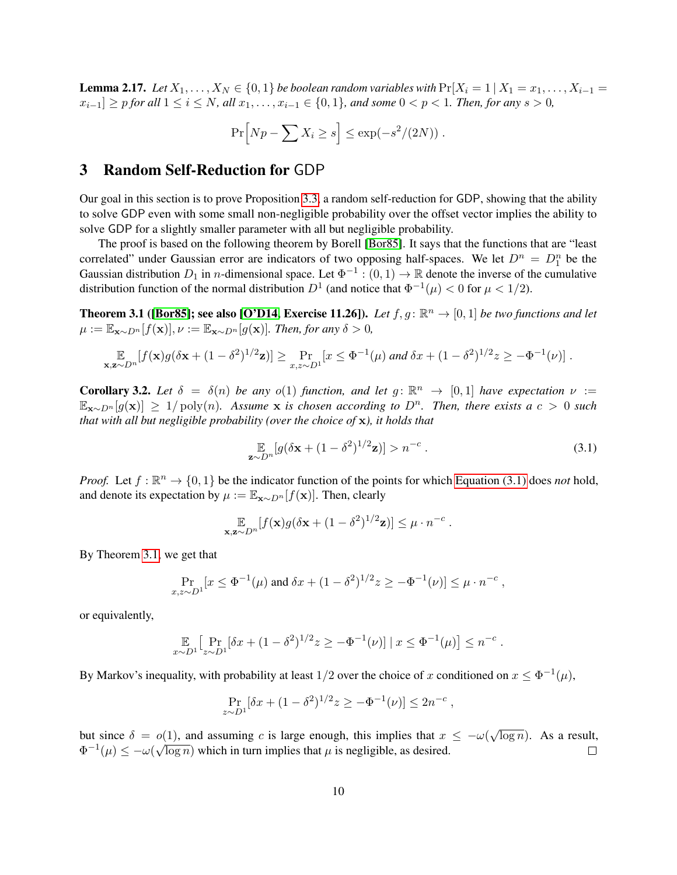**Lemma 2.17.** *Let*  $X_1, \ldots, X_N \in \{0, 1\}$  *be boolean random variables with*  $Pr[X_i = 1 | X_1 = x_1, \ldots, X_{i-1} = x_i]$  $x_{i-1}$  ≥ p for all  $1 \le i \le N$ *, all*  $x_1, \ldots, x_{i-1} \in \{0, 1\}$ *, and some*  $0 < p < 1$ *. Then, for any*  $s > 0$ *,* 

$$
\Pr[Np - \sum X_i \ge s] \le \exp(-s^2/(2N)) \; .
$$

# <span id="page-10-0"></span>3 Random Self-Reduction for GDP

Our goal in this section is to prove Proposition [3.3,](#page-10-1) a random self-reduction for GDP, showing that the ability to solve GDP even with some small non-negligible probability over the offset vector implies the ability to solve GDP for a slightly smaller parameter with all but negligible probability.

The proof is based on the following theorem by Borell [\[Bor85\]](#page-24-12). It says that the functions that are "least correlated" under Gaussian error are indicators of two opposing half-spaces. We let  $D^n = D_1^n$  be the Gaussian distribution  $D_1$  in *n*-dimensional space. Let  $\Phi^{-1} : (0,1) \to \mathbb{R}$  denote the inverse of the cumulative distribution function of the normal distribution  $D^1$  (and notice that  $\Phi^{-1}(\mu) < 0$  for  $\mu < 1/2$ ).

<span id="page-10-3"></span>**Theorem 3.1 ([\[Bor85\]](#page-24-12); see also [\[O'D14,](#page-25-12) Exercise 11.26]).** Let  $f, g: \mathbb{R}^n \to [0, 1]$  be two functions and let  $\mu := \mathbb{E}_{\mathbf{x} \sim D^n}[f(\mathbf{x})], \nu := \mathbb{E}_{\mathbf{x} \sim D^n}[g(\mathbf{x})]$ *. Then, for any*  $\delta > 0$ *,* 

$$
\mathop{\mathbb{E}}_{\mathbf{x},\mathbf{z}\sim D^n}[f(\mathbf{x})g(\delta \mathbf{x} + (1-\delta^2)^{1/2}\mathbf{z})] \ge \Pr_{x,z\sim D^1}[x \le \Phi^{-1}(\mu) \text{ and } \delta x + (1-\delta^2)^{1/2}z \ge -\Phi^{-1}(\nu)].
$$

<span id="page-10-4"></span>**Corollary 3.2.** Let  $\delta = \delta(n)$  be any  $o(1)$  function, and let  $g: \mathbb{R}^n \to [0,1]$  have expectation  $\nu :=$  $\mathbb{E}_{\mathbf{x} \sim D^n}[g(\mathbf{x})] \geq 1/\text{poly}(n)$ . Assume x is chosen according to  $D^n$ . Then, there exists a  $c > 0$  such *that with all but negligible probability (over the choice of* x*), it holds that*

$$
\mathbb{E}_{\mathbf{z}\sim D^n}[g(\delta \mathbf{x} + (1-\delta^2)^{1/2}\mathbf{z})] > n^{-c}.
$$
\n(3.1)

<span id="page-10-2"></span>.

*Proof.* Let  $f : \mathbb{R}^n \to \{0, 1\}$  be the indicator function of the points for which [Equation \(3.1\)](#page-10-2) does *not* hold, and denote its expectation by  $\mu := \mathbb{E}_{\mathbf{x} \sim D^n}[f(\mathbf{x})]$ . Then, clearly

$$
\mathbb{E}_{\mathbf{x},\mathbf{z}\sim D^n}[f(\mathbf{x})g(\delta \mathbf{x}+(1-\delta^2)^{1/2}\mathbf{z})] \leq \mu \cdot n^{-c}.
$$

By Theorem [3.1,](#page-10-3) we get that

$$
\Pr_{x,z \sim D^1}[x \le \Phi^{-1}(\mu) \text{ and } \delta x + (1 - \delta^2)^{1/2} z \ge -\Phi^{-1}(\nu)] \le \mu \cdot n^{-c} ,
$$

or equivalently,

$$
\mathbb{E}_{x \sim D^1} \left[ \Pr_{z \sim D^1} [\delta x + (1 - \delta^2)^{1/2} z \ge -\Phi^{-1}(\nu)] \mid x \le \Phi^{-1}(\mu) \right] \le n^{-c}
$$

By Markov's inequality, with probability at least 1/2 over the choice of x conditioned on  $x \leq \Phi^{-1}(\mu)$ ,

$$
\Pr_{z \sim D^1} [\delta x + (1 - \delta^2)^{1/2} z \ge -\Phi^{-1}(\nu)] \le 2n^{-c},
$$

<span id="page-10-1"></span>√ but since  $\delta = o(1)$ , and assuming c is large enough, this implies that  $x \le -\omega$  $\overline{\log n}$ ). As a result,  $\frac{v}{\sqrt{2}}$  $\Phi^{-1}(\mu) \leq -\omega$  $\overline{\log n}$ ) which in turn implies that  $\mu$  is negligible, as desired.  $\Box$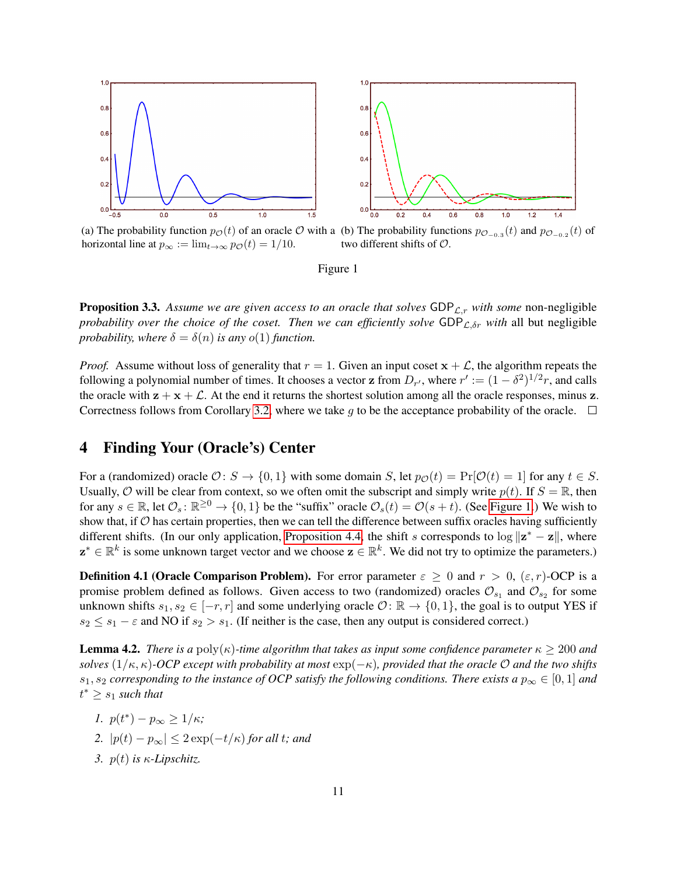<span id="page-11-1"></span>

(a) The probability function  $p_{\mathcal{O}}(t)$  of an oracle  $\mathcal O$  with a (b) The probability functions  $p_{\mathcal O_{-0.3}}(t)$  and  $p_{\mathcal O_{-0.2}}(t)$  of horizontal line at  $p_{\infty} := \lim_{t \to \infty} p_{\mathcal{O}}(t) = 1/10$ . two different shifts of O.



**Proposition 3.3.** Assume we are given access to an oracle that solves  $GDP_{\mathcal{L},r}$  with some non-negligible *probability over the choice of the coset. Then we can efficiently solve*  $GDP_{\mathcal{L},\delta r}$  *with* all but negligible *probability, where*  $\delta = \delta(n)$  *is any*  $o(1)$  *function.* 

*Proof.* Assume without loss of generality that  $r = 1$ . Given an input coset  $x + \mathcal{L}$ , the algorithm repeats the following a polynomial number of times. It chooses a vector **z** from  $D_{r'}$ , where  $r' := (1 - \delta^2)^{1/2}r$ , and calls the oracle with  $z + x + \mathcal{L}$ . At the end it returns the shortest solution among all the oracle responses, minus z. Correctness follows from Corollary [3.2,](#page-10-4) where we take q to be the acceptance probability of the oracle.  $\Box$ 

# 4 Finding Your (Oracle's) Center

For a (randomized) oracle  $\mathcal{O}: S \to \{0,1\}$  with some domain S, let  $p_{\mathcal{O}}(t) = \Pr[\mathcal{O}(t) = 1]$  for any  $t \in S$ . Usually, O will be clear from context, so we often omit the subscript and simply write  $p(t)$ . If  $S = \mathbb{R}$ , then for any  $s \in \mathbb{R}$ , let  $\mathcal{O}_s : \mathbb{R}^{\geq 0} \to \{0, 1\}$  be the "suffix" oracle  $\mathcal{O}_s(t) = \mathcal{O}(s+t)$ . (See [Figure 1.](#page-11-1)) We wish to show that, if  $O$  has certain properties, then we can tell the difference between suffix oracles having sufficiently different shifts. (In our only application, [Proposition 4.4,](#page-13-0) the shift s corresponds to  $\log ||z^* - z||$ , where  $z^* \in \mathbb{R}^k$  is some unknown target vector and we choose  $z \in \mathbb{R}^k$ . We did not try to optimize the parameters.)

**Definition 4.1 (Oracle Comparison Problem).** For error parameter  $\varepsilon \ge 0$  and  $r > 0$ ,  $(\varepsilon, r)$ -OCP is a promise problem defined as follows. Given access to two (randomized) oracles  $\mathcal{O}_{s_1}$  and  $\mathcal{O}_{s_2}$  for some unknown shifts  $s_1, s_2 \in [-r, r]$  and some underlying oracle  $\mathcal{O} \colon \mathbb{R} \to \{0, 1\}$ , the goal is to output YES if  $s_2 \leq s_1 - \varepsilon$  and NO if  $s_2 > s_1$ . (If neither is the case, then any output is considered correct.)

<span id="page-11-0"></span>**Lemma 4.2.** *There is a* poly( $\kappa$ )-time algorithm that takes as input some confidence parameter  $\kappa \ge 200$  and *solves*  $(1/\kappa, \kappa)$ -*OCP* except with probability at most  $\exp(-\kappa)$ , provided that the oracle  $\mathcal O$  and the two shifts  $s_1, s_2$  *corresponding to the instance of OCP satisfy the following conditions. There exists a*  $p_\infty \in [0, 1]$  *and*  $t^* \geq s_1$  *such that* 

<span id="page-11-4"></span><span id="page-11-3"></span><span id="page-11-2"></span>*1.*  $p(t^*) - p_\infty \geq 1/\kappa;$ 2.  $|p(t) - p_{\infty}| \leq 2 \exp(-t/\kappa)$  *for all t; and 3.* p(t) *is* κ*-Lipschitz.*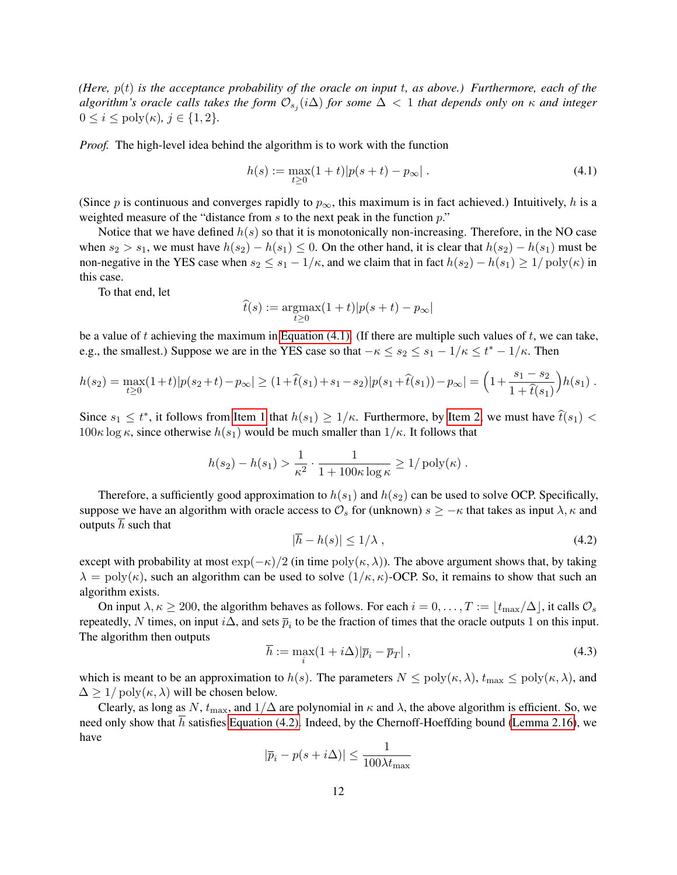*(Here,* p(t) *is the acceptance probability of the oracle on input* t*, as above.) Furthermore, each of the*  $a$ lgorithm's oracle calls takes the form  $\mathcal{O}_{s_j}(i\Delta)$  for some  $\Delta < 1$  that depends only on  $\kappa$  and integer  $0 \leq i \leq \text{poly}(\kappa), j \in \{1, 2\}.$ 

*Proof.* The high-level idea behind the algorithm is to work with the function

<span id="page-12-0"></span>
$$
h(s) := \max_{t \ge 0} (1+t) |p(s+t) - p_{\infty}|.
$$
\n(4.1)

(Since p is continuous and converges rapidly to  $p_{\infty}$ , this maximum is in fact achieved.) Intuitively, h is a weighted measure of the "distance from s to the next peak in the function p."

Notice that we have defined  $h(s)$  so that it is monotonically non-increasing. Therefore, in the NO case when  $s_2 > s_1$ , we must have  $h(s_2) - h(s_1) \leq 0$ . On the other hand, it is clear that  $h(s_2) - h(s_1)$  must be non-negative in the YES case when  $s_2 \leq s_1 - 1/\kappa$ , and we claim that in fact  $h(s_2) - h(s_1) \geq 1/\text{poly}(\kappa)$  in this case.

To that end, let

$$
\widehat{t}(s) := \underset{t \ge 0}{\operatorname{argmax}} (1+t)|p(s+t) - p_{\infty}|
$$

be a value of t achieving the maximum in Equation  $(4.1)$ . (If there are multiple such values of t, we can take, e.g., the smallest.) Suppose we are in the YES case so that  $-\kappa \leq s_2 \leq s_1 - 1/\kappa \leq t^* - 1/\kappa$ . Then

$$
h(s_2) = \max_{t \ge 0} (1+t) |p(s_2+t) - p_{\infty}| \ge (1+\hat{t}(s_1) + s_1 - s_2) |p(s_1 + \hat{t}(s_1)) - p_{\infty}| = \left(1 + \frac{s_1 - s_2}{1 + \hat{t}(s_1)}\right) h(s_1).
$$

Since  $s_1 \leq t^*$ , it follows from [Item 1](#page-11-2) that  $h(s_1) \geq 1/\kappa$ . Furthermore, by [Item 2,](#page-11-3) we must have  $\hat{t}(s_1) <$  $100\kappa \log \kappa$ , since otherwise  $h(s_1)$  would be much smaller than  $1/\kappa$ . It follows that

<span id="page-12-1"></span>
$$
h(s_2) - h(s_1) > \frac{1}{\kappa^2} \cdot \frac{1}{1 + 100\kappa \log \kappa} \ge 1/\text{poly}(\kappa) .
$$

Therefore, a sufficiently good approximation to  $h(s_1)$  and  $h(s_2)$  can be used to solve OCP. Specifically, suppose we have an algorithm with oracle access to  $\mathcal{O}_s$  for (unknown)  $s \geq -\kappa$  that takes as input  $\lambda$ ,  $\kappa$  and outputs  $\overline{h}$  such that

$$
|\overline{h} - h(s)| \le 1/\lambda \tag{4.2}
$$

except with probability at most  $\exp(-\kappa)/2$  (in time  $\frac{\text{poly}(\kappa, \lambda)}{\lambda}$ ). The above argument shows that, by taking  $\lambda = \text{poly}(\kappa)$ , such an algorithm can be used to solve  $(1/\kappa, \kappa)$ -OCP. So, it remains to show that such an algorithm exists.

On input  $\lambda, \kappa \ge 200$ , the algorithm behaves as follows. For each  $i = 0, \ldots, T := |t_{\text{max}}/\Delta|$ , it calls  $\mathcal{O}_s$ repeatedly, N times, on input  $i\Delta$ , and sets  $\overline{p}_i$  to be the fraction of times that the oracle outputs 1 on this input. The algorithm then outputs

<span id="page-12-2"></span>
$$
\overline{h} := \max_{i} (1 + i\Delta) |\overline{p}_i - \overline{p}_T| , \qquad (4.3)
$$

which is meant to be an approximation to  $h(s)$ . The parameters  $N \leq poly(\kappa, \lambda)$ ,  $t_{\max} \leq poly(\kappa, \lambda)$ , and  $\Delta \geq 1/\text{poly}(\kappa, \lambda)$  will be chosen below.

Clearly, as long as N,  $t_{\text{max}}$ , and  $1/\Delta$  are polynomial in  $\kappa$  and  $\lambda$ , the above algorithm is efficient. So, we need only show that  $\overline{h}$  satisfies [Equation \(4.2\).](#page-12-1) Indeed, by the Chernoff-Hoeffding bound [\(Lemma 2.16\)](#page-9-0), we have

$$
|\overline{p}_i - p(s + i\Delta)| \le \frac{1}{100\lambda t_{\text{max}}}
$$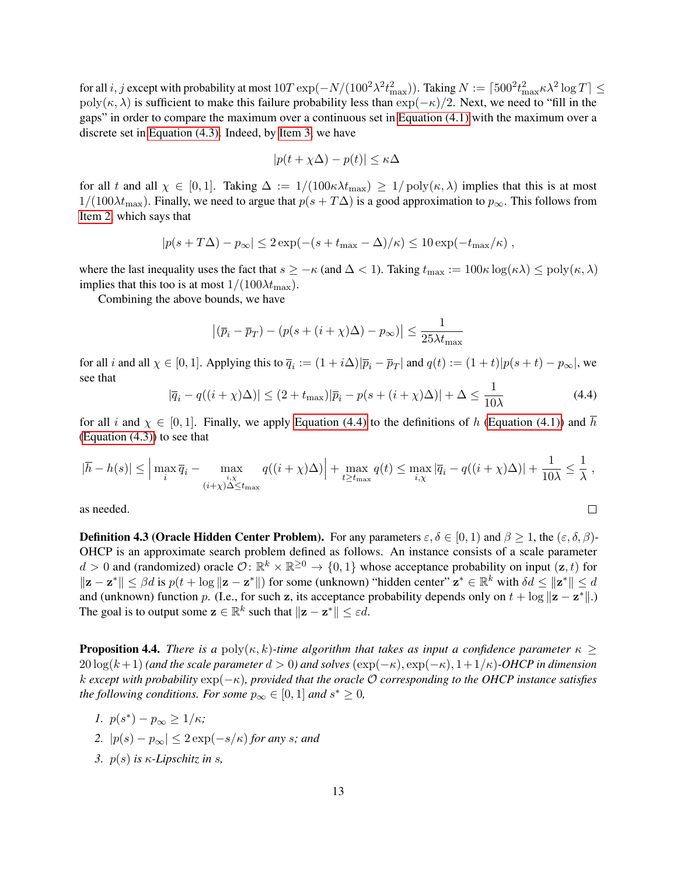for all  $i,j$  except with probability at most  $10T\exp(-N/(100^2\lambda^2t_{\rm max}^2))$ . Taking  $N:=\lceil 500^2t_{\rm max}^2\kappa\lambda^2\log T\rceil\leq 1$ poly( $\kappa$ ,  $\lambda$ ) is sufficient to make this failure probability less than exp( $-\kappa$ )/2. Next, we need to "fill in the gaps" in order to compare the maximum over a continuous set in [Equation \(4.1\)](#page-12-0) with the maximum over a discrete set in [Equation \(4.3\).](#page-12-2) Indeed, by [Item 3,](#page-11-4) we have

$$
|p(t + \chi \Delta) - p(t)| \le \kappa \Delta
$$

for all t and all  $\chi \in [0,1]$ . Taking  $\Delta := 1/(100\kappa\lambda t_{\max}) \ge 1/\text{poly}(\kappa,\lambda)$  implies that this is at most  $1/(100\lambda t_{\text{max}})$ . Finally, we need to argue that  $p(s+T\Delta)$  is a good approximation to  $p_{\infty}$ . This follows from [Item 2,](#page-11-3) which says that

$$
|p(s+T\Delta)-p_{\infty}| \leq 2\exp(-(s+t_{\max}-\Delta)/\kappa) \leq 10\exp(-t_{\max}/\kappa) ,
$$

where the last inequality uses the fact that  $s \geq -\kappa$  (and  $\Delta < 1$ ). Taking  $t_{\text{max}} := 100\kappa \log(\kappa \lambda) \leq \text{poly}(\kappa, \lambda)$ implies that this too is at most  $1/(100\lambda t_{\text{max}})$ .

Combining the above bounds, we have

$$
\left| \left( \overline{p}_i - \overline{p}_T \right) - \left( p(s + (i + \chi)\Delta) - p_\infty \right) \right| \le \frac{1}{25\lambda t_{\text{max}}}
$$

<span id="page-13-1"></span>for all i and all  $\chi \in [0,1]$ . Applying this to  $\overline{q}_i := (1 + i\Delta)|\overline{p}_i - \overline{p}_T|$  and  $q(t) := (1 + t)|p(s + t) - p_{\infty}|$ , we see that

$$
|\overline{q}_i - q((i + \chi)\Delta)| \le (2 + t_{\max})|\overline{p}_i - p(s + (i + \chi)\Delta)| + \Delta \le \frac{1}{10\lambda}
$$
\n(4.4)

 $\Box$ 

for all i and  $\chi \in [0,1]$ . Finally, we apply [Equation \(4.4\)](#page-13-1) to the definitions of h [\(Equation \(4.1\)\)](#page-12-0) and  $\overline{h}$ (Equation  $(4.3)$ ) to see that

$$
|\overline{h} - h(s)| \leq \left| \max_{i} \overline{q}_i - \max_{\substack{i,\chi \\ (i+\chi)\Delta \leq t_{\max}}} q((i+\chi)\Delta) \right| + \max_{t \geq t_{\max}} q(t) \leq \max_{i,\chi} |\overline{q}_i - q((i+\chi)\Delta)| + \frac{1}{10\lambda} \leq \frac{1}{\lambda},
$$

as needed.

<span id="page-13-5"></span>**Definition 4.3 (Oracle Hidden Center Problem).** For any parameters  $\varepsilon, \delta \in [0, 1)$  and  $\beta \ge 1$ , the  $(\varepsilon, \delta, \beta)$ -OHCP is an approximate search problem defined as follows. An instance consists of a scale parameter  $d > 0$  and (randomized) oracle  $\mathcal{O} \colon \mathbb{R}^k \times \mathbb{R}^{\geq 0} \to \{0, 1\}$  whose acceptance probability on input  $(\mathbf{z}, t)$  for  $||\mathbf{z} - \mathbf{z}^*|| \leq \beta d$  is  $p(t + \log ||\mathbf{z} - \mathbf{z}^*||)$  for some (unknown) "hidden center"  $\mathbf{z}^* \in \mathbb{R}^k$  with  $\delta d \leq ||\mathbf{z}^*|| \leq d$ and (unknown) function p. (I.e., for such z, its acceptance probability depends only on  $t + \log ||z - z^*||$ .) The goal is to output some  $\mathbf{z} \in \mathbb{R}^k$  such that  $\|\mathbf{z} - \mathbf{z}^*\| \leq \varepsilon d$ .

<span id="page-13-0"></span>**Proposition 4.4.** *There is a* poly( $\kappa$ , k)*-time algorithm that takes as input a confidence parameter*  $\kappa$  >  $20 \log(k+1)$  *(and the scale parameter*  $d > 0$ *) and solves*  $(\exp(-\kappa), \exp(-\kappa), 1+1/\kappa)$ *-OHCP in dimension* k *except with probability* exp(−κ)*, provided that the oracle* O *corresponding to the OHCP instance satisfies the following conditions. For some*  $p_{\infty} \in [0, 1]$  *and*  $s^* \geq 0$ *,* 

- <span id="page-13-2"></span>*1.*  $p(s^*) - p_\infty \geq 1/\kappa;$
- <span id="page-13-3"></span>2.  $|p(s) - p_{\infty}| \leq 2 \exp(-s/\kappa)$  *for any s; and*
- <span id="page-13-4"></span>*3.* p(s) *is* κ*-Lipschitz in* s*,*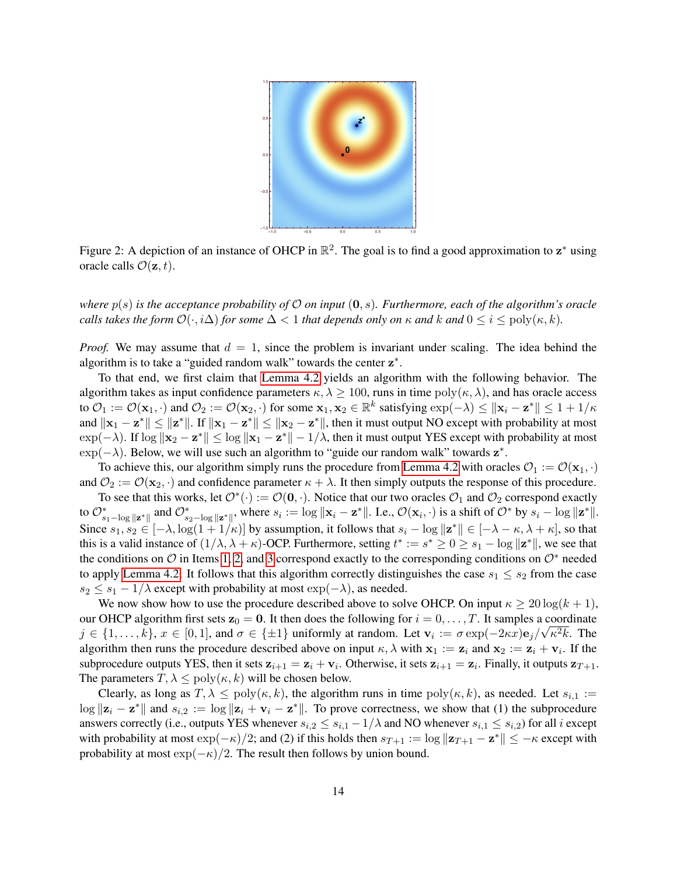

Figure 2: A depiction of an instance of OHCP in  $\mathbb{R}^2$ . The goal is to find a good approximation to  $z^*$  using oracle calls  $\mathcal{O}(\mathbf{z}, t)$ .

*where*  $p(s)$  *is the acceptance probability of*  $\mathcal O$  *on input*  $(0, s)$ *. Furthermore, each of the algorithm's oracle calls takes the form*  $\mathcal{O}(\cdot, i\Delta)$  *for some*  $\Delta < 1$  *that depends only on*  $\kappa$  *and*  $k$  *and*  $0 \le i \le \text{poly}(\kappa, k)$ *.* 

*Proof.* We may assume that  $d = 1$ , since the problem is invariant under scaling. The idea behind the algorithm is to take a "guided random walk" towards the center  $z^*$ .

To that end, we first claim that [Lemma 4.2](#page-11-0) yields an algorithm with the following behavior. The algorithm takes as input confidence parameters  $\kappa, \lambda \ge 100$ , runs in time  $poly(\kappa, \lambda)$ , and has oracle access to  $\mathcal{O}_1 := \mathcal{O}(\mathbf{x}_1, \cdot)$  and  $\mathcal{O}_2 := \mathcal{O}(\mathbf{x}_2, \cdot)$  for some  $\mathbf{x}_1, \mathbf{x}_2 \in \mathbb{R}^k$  satisfying  $\exp(-\lambda) \le ||\mathbf{x}_i - \mathbf{z}^*|| \le 1 + 1/\kappa$ and  $\|\mathbf{x}_1 - \mathbf{z}^*\| \le \|\mathbf{z}^*\|$ . If  $\|\mathbf{x}_1 - \mathbf{z}^*\| \le \|\mathbf{x}_2 - \mathbf{z}^*\|$ , then it must output NO except with probability at most  $\exp(-\lambda)$ . If  $\log \|\mathbf{x}_2 - \mathbf{z}^*\| \leq \log \|\mathbf{x}_1 - \mathbf{z}^*\| - 1/\lambda$ , then it must output YES except with probability at most  $\exp(-\lambda)$ . Below, we will use such an algorithm to "guide our random walk" towards  $z^*$ .

To achieve this, our algorithm simply runs the procedure from [Lemma 4.2](#page-11-0) with oracles  $\mathcal{O}_1 := \mathcal{O}(\mathbf{x}_1, \cdot)$ and  $\mathcal{O}_2 := \mathcal{O}(\mathbf{x}_2, \cdot)$  and confidence parameter  $\kappa + \lambda$ . It then simply outputs the response of this procedure.

To see that this works, let  $\mathcal{O}^*(\cdot) := \mathcal{O}(0, \cdot)$ . Notice that our two oracles  $\mathcal{O}_1$  and  $\mathcal{O}_2$  correspond exactly to  $\mathcal{O}_{s_1-\log ||\mathbf{z}^*||}^*$  and  $\mathcal{O}_{s_2-\log ||\mathbf{z}^*||}^*$ , where  $s_i := \log ||\mathbf{x}_i - \mathbf{z}^*||$ . I.e.,  $\mathcal{O}(\mathbf{x}_i, \cdot)$  is a shift of  $\mathcal{O}^*$  by  $s_i - \log ||\mathbf{z}^*||$ . Since  $s_1, s_2 \in [-\lambda, \log(1+1/\kappa)]$  by assumption, it follows that  $s_i - \log ||z^*|| \in [-\lambda - \kappa, \lambda + \kappa]$ , so that this is a valid instance of  $(1/\lambda, \lambda + \kappa)$ -OCP. Furthermore, setting  $t^* := s^* \geq 0 \geq s_1 - \log ||z^*||$ , we see that the conditions on  $\mathcal O$  in Items [1,](#page-13-2) [2,](#page-13-3) and [3](#page-13-4) correspond exactly to the corresponding conditions on  $\mathcal O^*$  needed to apply [Lemma 4.2.](#page-11-0) It follows that this algorithm correctly distinguishes the case  $s_1 \leq s_2$  from the case  $s_2 \leq s_1 - 1/\lambda$  except with probability at most  $\exp(-\lambda)$ , as needed.

We now show how to use the procedure described above to solve OHCP. On input  $\kappa \geq 20 \log(k+1)$ , our OHCP algorithm first sets  $z_0 = 0$ . It then does the following for  $i = 0, \ldots, T$ . It samples a coordinate  $j \in \{1, \ldots, k\}, x \in [0, 1]$ , and  $\sigma \in \{\pm 1\}$  uniformly at random. Let  $\mathbf{v}_i := \sigma \exp(-2\kappa x) \mathbf{e}_j / \sqrt{\kappa^2 k}$ . The algorithm then runs the procedure described above on input  $\kappa, \lambda$  with  $x_1 := z_i$  and  $x_2 := z_i + v_i$ . If the subprocedure outputs YES, then it sets  $z_{i+1} = z_i + v_i$ . Otherwise, it sets  $z_{i+1} = z_i$ . Finally, it outputs  $z_{T+1}$ . The parameters  $T, \lambda \leq \text{poly}(\kappa, k)$  will be chosen below.

Clearly, as long as  $T, \lambda \leq \text{poly}(\kappa, k)$ , the algorithm runs in time  $\text{poly}(\kappa, k)$ , as needed. Let  $s_{i,1} :=$  $\log ||\mathbf{z}_i - \mathbf{z}^*||$  and  $s_{i,2} := \log ||\mathbf{z}_i + \mathbf{v}_i - \mathbf{z}^*||$ . To prove correctness, we show that (1) the subprocedure answers correctly (i.e., outputs YES whenever  $s_{i,2} \leq s_{i,1} - 1/\lambda$  and NO whenever  $s_{i,1} \leq s_{i,2}$ ) for all i except with probability at most  $\exp(-\kappa)/2$ ; and (2) if this holds then  $s_{T+1} := \log ||\mathbf{z}_{T+1} - \mathbf{z}^*|| \leq -\kappa$  except with probability at most  $\exp(-\kappa)/2$ . The result then follows by union bound.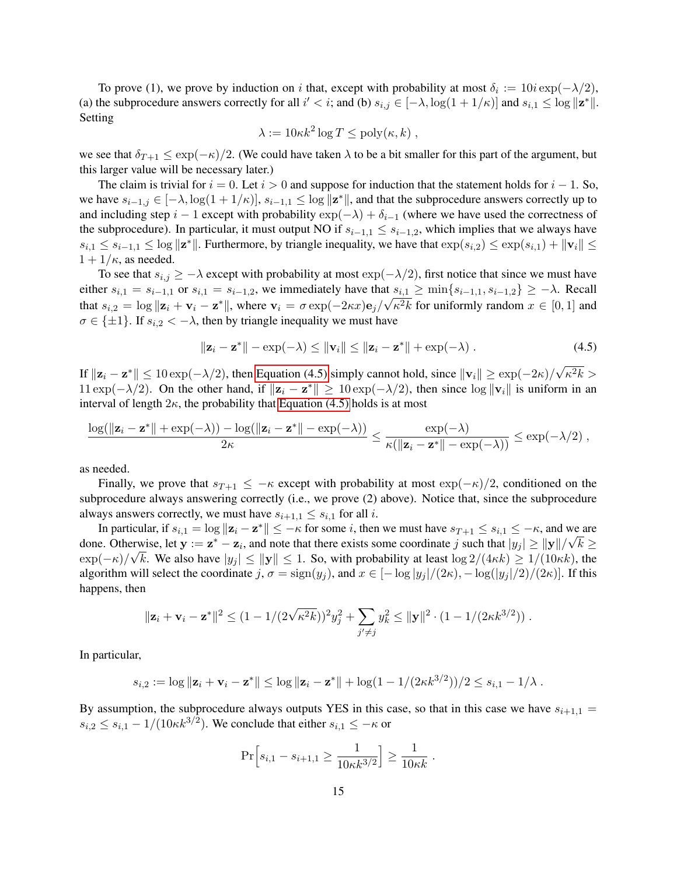To prove (1), we prove by induction on i that, except with probability at most  $\delta_i := 10i \exp(-\lambda/2)$ , (a) the subprocedure answers correctly for all  $i' < i$ ; and (b)  $s_{i,j} \in [-\lambda, \log(1 + 1/\kappa)]$  and  $s_{i,1} \leq \log ||\mathbf{z}^*||$ . Setting

$$
\lambda := 10\kappa k^2 \log T \le \text{poly}(\kappa, k) ,
$$

we see that  $\delta_{T+1} \leq \exp(-\kappa)/2$ . (We could have taken  $\lambda$  to be a bit smaller for this part of the argument, but this larger value will be necessary later.)

The claim is trivial for  $i = 0$ . Let  $i > 0$  and suppose for induction that the statement holds for  $i - 1$ . So, we have  $s_{i-1,j} \in [-\lambda, \log(1+1/\kappa)], s_{i-1,1} \leq \log ||z^*||$ , and that the subprocedure answers correctly up to and including step  $i - 1$  except with probability  $\exp(-\lambda) + \delta_{i-1}$  (where we have used the correctness of the subprocedure). In particular, it must output NO if  $s_{i-1,1} \leq s_{i-1,2}$ , which implies that we always have  $s_{i,1} \leq s_{i-1,1} \leq \log ||\mathbf{z}^*||$ . Furthermore, by triangle inequality, we have that  $\exp(s_{i,2}) \leq \exp(s_{i,1}) + ||\mathbf{v}_i|| \leq$  $1 + 1/\kappa$ , as needed.

To see that  $s_{i,j} \geq -\lambda$  except with probability at most  $\exp(-\lambda/2)$ , first notice that since we must have either  $s_{i,1} = s_{i-1,1}$  or  $s_{i,1} = s_{i-1,2}$ , we immediately have that  $s_{i,1} \ge \min\{s_{i-1,1}, s_{i-1,2}\} \ge -\lambda$ . Recall that  $s_{i,2} = \log ||\mathbf{z}_i + \mathbf{v}_i - \mathbf{z}^*||$ , where  $\mathbf{v}_i = \sigma \exp(-2\kappa x) \mathbf{e}_j / \sqrt{\kappa^2 k}$  for uniformly random  $x \in [0,1]$  and  $\sigma \in \{\pm 1\}$ . If  $s_{i,2} < -\lambda$ , then by triangle inequality we must have

<span id="page-15-0"></span>
$$
\|\mathbf{z}_i - \mathbf{z}^*\| - \exp(-\lambda) \le \|\mathbf{v}_i\| \le \|\mathbf{z}_i - \mathbf{z}^*\| + \exp(-\lambda). \tag{4.5}
$$

If  $\|\mathbf{z}_i - \mathbf{z}^*\| \le 10 \exp(-\lambda/2)$ , then [Equation \(4.5\)](#page-15-0) simply cannot hold, since  $\|\mathbf{v}_i\| \ge \exp(-2\kappa)/\sqrt{2}$ √  $\kappa^2 k >$ 11 exp( $-\lambda/2$ ). On the other hand, if  $\|\mathbf{z}_i - \mathbf{z}^*\| \ge 10$  exp( $-\lambda/2$ ), then since  $\log \|\mathbf{v}_i\|$  is uniform in an interval of length  $2\kappa$ , the probability that [Equation \(4.5\)](#page-15-0) holds is at most

$$
\frac{\log(\|\mathbf{z}_i-\mathbf{z}^*\|+\exp(-\lambda))-\log(\|\mathbf{z}_i-\mathbf{z}^*\|-\exp(-\lambda))}{2\kappa}\leq \frac{\exp(-\lambda)}{\kappa(\|\mathbf{z}_i-\mathbf{z}^*\|-\exp(-\lambda))}\leq \exp(-\lambda/2)\;,
$$

as needed.

Finally, we prove that  $s_{T+1} \leq -\kappa$  except with probability at most  $\exp(-\kappa)/2$ , conditioned on the subprocedure always answering correctly (i.e., we prove (2) above). Notice that, since the subprocedure always answers correctly, we must have  $s_{i+1,1} \leq s_{i,1}$  for all i.

In particular, if  $s_{i,1} = \log ||\mathbf{z}_i - \mathbf{z}^*|| \leq -\kappa$  for some i, then we must have  $s_{T+1} \leq s_{i,1} \leq -\kappa$ , and we are done. Otherwise, let  $y := z^* - z_i$ , and note that there exists some coordinate j such that  $|y_j| \ge ||y|| / \sqrt{k} \ge$  $\exp(-\kappa)/\sqrt{k}$ . We also have  $|y_j| \le ||y|| \le 1$ . So, with probability at least  $\log 2/(4\kappa k) \ge 1/(10\kappa k)$ , the algorithm will select the coordinate j,  $\sigma = \text{sign}(y_i)$ , and  $x \in [-\log|y_i|/(2\kappa), -\log(|y_i|/2)/(2\kappa)]$ . If this happens, then

$$
\|\mathbf{z}_i+\mathbf{v}_i-\mathbf{z}^*\|^2 \leq (1-1/(2\sqrt{\kappa^2 k}))^2 y_j^2 + \sum_{j'\neq j} y_k^2 \leq \|\mathbf{y}\|^2 \cdot (1-1/(2\kappa k^{3/2})) .
$$

In particular,

$$
s_{i,2} := \log \|\mathbf{z}_i + \mathbf{v}_i - \mathbf{z}^*\| \leq \log \|\mathbf{z}_i - \mathbf{z}^*\| + \log(1 - 1/(2\kappa k^{3/2}))/2 \leq s_{i,1} - 1/\lambda.
$$

By assumption, the subprocedure always outputs YES in this case, so that in this case we have  $s_{i+1,1}$  =  $s_{i,2} \leq s_{i,1} - 1/(10\kappa k^{3/2})$ . We conclude that either  $s_{i,1} \leq -\kappa$  or

$$
\Pr\Big[s_{i,1} - s_{i+1,1} \ge \frac{1}{10\kappa k^{3/2}}\Big] \ge \frac{1}{10\kappa k} \; .
$$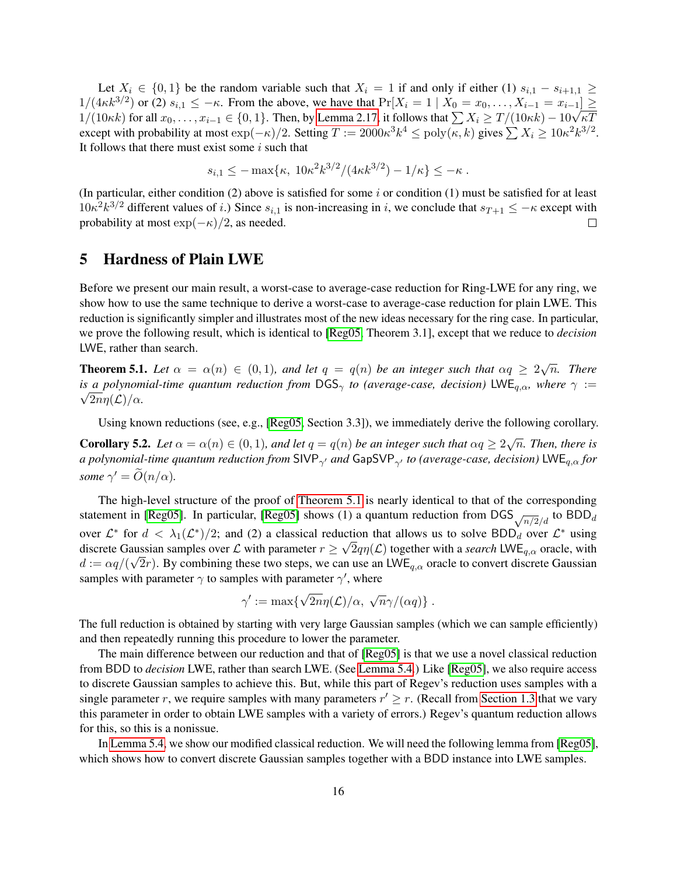Let  $X_i \in \{0,1\}$  be the random variable such that  $X_i = 1$  if and only if either (1)  $s_{i,1} - s_{i+1,1} \geq$  $1/(4\kappa k^{3/2})$  or (2)  $s_{i,1} \leq -\kappa$ . From the above, we have that  $Pr[X_i = 1 | X_0 = x_0, \ldots, X_{i-1} = x_{i-1}] \geq$ 1/(4 $\kappa$ <sup>k/-</sup>) or (2)  $s_{i,1} \le -\kappa$ . From the above, we have that  $\Pr[\lambda_i = 1 | \lambda_0 = x_0, \ldots, \lambda_{i-1} = x_{i-1}] \ge 1/(10\kappa k)$  for all  $x_0, \ldots, x_{i-1} \in \{0, 1\}$ . Then, by [Lemma 2.17,](#page-9-1) it follows that  $\sum X_i \ge T/(10\kappa k) - 10\sqrt{\kappa T}$ except with probability at most  $\exp(-\kappa)/2$ . Setting  $T := 2000\kappa^3 k^4 \le \text{poly}(\kappa, k)$  gives  $\sum X_i \ge 10\kappa^2 k^{3/2}$ . It follows that there must exist some  $i$  such that

$$
s_{i,1} \le -\max{\kappa, 10\kappa^2 k^{3/2}/(4\kappa k^{3/2})} - 1/\kappa} \le -\kappa
$$
.

(In particular, either condition  $(2)$  above is satisfied for some i or condition  $(1)$  must be satisfied for at least  $10\kappa^2 k^{3/2}$  different values of *i*.) Since  $s_{i,1}$  is non-increasing in *i*, we conclude that  $s_{T+1} \leq -\kappa$  except with probability at most  $\exp(-\kappa)/2$ , as needed.  $\Box$ 

### <span id="page-16-2"></span>5 Hardness of Plain LWE

Before we present our main result, a worst-case to average-case reduction for Ring-LWE for any ring, we show how to use the same technique to derive a worst-case to average-case reduction for plain LWE. This reduction is significantly simpler and illustrates most of the new ideas necessary for the ring case. In particular, we prove the following result, which is identical to [\[Reg05,](#page-26-0) Theorem 3.1], except that we reduce to *decision* LWE, rather than search.

<span id="page-16-0"></span>**Theorem 5.1.** Let  $\alpha = \alpha(n) \in (0,1)$ , and let  $q = q(n)$  be an integer such that  $\alpha q \geq 2\sqrt{n}$ . There *is a polynomial-time quantum reduction from* DGS<sub>γ</sub> *to (average-case, decision)* LWE<sub>q, $α$ </sub>, *where*  $γ :=$  $\sqrt{2n\eta(\mathcal{L})}/\alpha$ .

Using known reductions (see, e.g., [\[Reg05,](#page-26-0) Section 3.3]), we immediately derive the following corollary.

**Corollary 5.2.** Let  $\alpha = \alpha(n) \in (0, 1)$ , and let  $q = q(n)$  be an integer such that  $\alpha q \ge 2\sqrt{n}$ . Then, there is *a polynomial-time quantum reduction from* SIVP<sub>γ′</sub> and GapSVP<sub>γ′</sub> to (average-case, decision)  $\mathsf{LWE}_{q,\alpha}$  for *some*  $\gamma' = \widetilde{O}(n/\alpha)$ .

The high-level structure of the proof of [Theorem 5.1](#page-16-0) is nearly identical to that of the corresponding statement in [\[Reg05\]](#page-26-0). In particular, [Reg05] shows (1) a quantum reduction from DGS $\sqrt{n/2}/d$  to BDD $d$ over  $\mathcal{L}^*$  for  $d < \lambda_1(\mathcal{L}^*)/2$ ; and (2) a classical reduction that allows us to solve BDD<sub>d</sub> over  $\mathcal{L}^*$  using discrete Gaussian samples over L with parameter  $r \ge \sqrt{2q\eta(\mathcal{L})}$  together with a *search* LWE<sub>q, $\alpha$ </sub> oracle, with  $d := \alpha q/(\sqrt{2r})$ . By combining these two steps, we can use an LWE<sub>q, $\alpha$ </sub> oracle to convert discrete Gaussian samples with parameter  $\gamma$  to samples with parameter  $\gamma'$ , where

$$
\gamma':=\max\{\sqrt{2n}\eta(\mathcal{L})/\alpha,\ \sqrt{n}\gamma/(\alpha q)\}.
$$

The full reduction is obtained by starting with very large Gaussian samples (which we can sample efficiently) and then repeatedly running this procedure to lower the parameter.

The main difference between our reduction and that of [\[Reg05\]](#page-26-0) is that we use a novel classical reduction from BDD to *decision* LWE, rather than search LWE. (See [Lemma 5.4.](#page-17-0)) Like [\[Reg05\]](#page-26-0), we also require access to discrete Gaussian samples to achieve this. But, while this part of Regev's reduction uses samples with a single parameter r, we require samples with many parameters  $r' \ge r$ . (Recall from [Section 1.3](#page-3-0) that we vary this parameter in order to obtain LWE samples with a variety of errors.) Regev's quantum reduction allows for this, so this is a nonissue.

<span id="page-16-1"></span>In [Lemma 5.4,](#page-17-0) we show our modified classical reduction. We will need the following lemma from [\[Reg05\]](#page-26-0), which shows how to convert discrete Gaussian samples together with a BDD instance into LWE samples.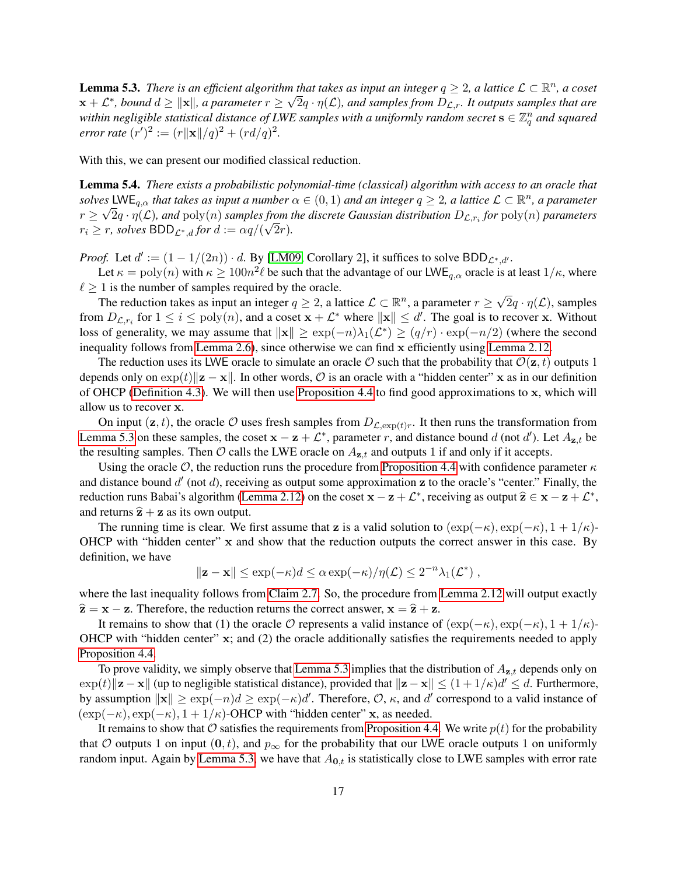**Lemma 5.3.** *There is an efficient algorithm that takes as input an integer*  $q \geq 2$ , *a lattice*  $\mathcal{L} \subset \mathbb{R}^n$ , *a coset*  $\mathbf{x}+\mathcal{L}^*$ , bound  $d\geq\|\mathbf{x}\|$ , a parameter  $r\geq\sqrt{2}q\cdot\eta(\mathcal{L})$ , and samples from  $D_{\mathcal{L},r}.$  It outputs samples that are within negligible statistical distance of LWE samples with a uniformly random secret  $\mathbf{s}\in\mathbb{Z}_q^n$  and squared *error rate*  $(r')^2 := (r||\mathbf{x}||/q)^2 + (rd/q)^2$ .

<span id="page-17-0"></span>With this, we can present our modified classical reduction.

Lemma 5.4. *There exists a probabilistic polynomial-time (classical) algorithm with access to an oracle that solves*  $\Box \textsf{LWE}_{q,\alpha}$  *that takes as input a number*  $\alpha \in (0,1)$  *and an integer*  $q \geq 2$ *, a lattice*  $\mathcal{L} \subset \mathbb{R}^n$ *, a parameter*  $r \geq \sqrt{2q} \cdot \eta(\mathcal{L})$ , and  $\text{poly}(n)$  *samples from the discrete Gaussian distribution*  $D_{\mathcal{L}, r_i}$  *for*  $\text{poly}(n)$  *parameters*  $r_i \ge r$ , solves  $BDD_{\mathcal{L}^*,d}$  for  $d := \alpha q/(\sqrt{2r}).$ 

*Proof.* Let  $d' := (1 - 1/(2n)) \cdot d$ . By [\[LM09,](#page-25-16) Corollary 2], it suffices to solve BDD<sub> $\mathcal{L}^*, d'$ </sub>.

Let  $\kappa = \text{poly}(n)$  with  $\kappa \ge 100n^2\ell$  be such that the advantage of our LWE<sub>q, $\alpha$ </sub> oracle is at least  $1/\kappa$ , where  $\ell \geq 1$  is the number of samples required by the oracle. √

The reduction takes as input an integer  $q \geq 2$ , a lattice  $\mathcal{L} \subset \mathbb{R}^n$ , a parameter  $r \geq 1$  $2q \cdot \eta(\mathcal{L})$ , samples from  $D_{\mathcal{L}, r_i}$  for  $1 \leq i \leq \text{poly}(n)$ , and a coset  $\mathbf{x} + \mathcal{L}^*$  where  $\|\mathbf{x}\| \leq d'$ . The goal is to recover x. Without loss of generality, we may assume that  $\|\mathbf{x}\| \ge \exp(-n)\lambda_1(\mathcal{L}^*) \ge (q/r) \cdot \exp(-n/2)$  (where the second inequality follows from [Lemma 2.6\)](#page-7-0), since otherwise we can find x efficiently using [Lemma 2.12.](#page-7-1)

The reduction uses its LWE oracle to simulate an oracle O such that the probability that  $\mathcal{O}(\mathbf{z}, t)$  outputs 1 depends only on  $\exp(t)\Vert z - x\Vert$ . In other words, O is an oracle with a "hidden center" x as in our definition of OHCP [\(Definition 4.3\)](#page-13-5). We will then use [Proposition 4.4](#page-13-0) to find good approximations to x, which will allow us to recover x.

On input  $(z, t)$ , the oracle O uses fresh samples from  $D_{\mathcal{L}, \exp(t)r}$ . It then runs the transformation from [Lemma 5.3](#page-16-1) on these samples, the coset  $x - z + \mathcal{L}^*$ , parameter r, and distance bound d (not d'). Let  $A_{z,t}$  be the resulting samples. Then  $\mathcal O$  calls the LWE oracle on  $A_{\mathbf{z},t}$  and outputs 1 if and only if it accepts.

Using the oracle  $\mathcal{O}$ , the reduction runs the procedure from [Proposition 4.4](#page-13-0) with confidence parameter  $\kappa$ and distance bound  $d'$  (not  $d$ ), receiving as output some approximation  $z$  to the oracle's "center." Finally, the reduction runs Babai's algorithm [\(Lemma 2.12\)](#page-7-1) on the coset  $\mathbf{x} - \mathbf{z} + \mathcal{L}^*$ , receiving as output  $\hat{\mathbf{z}} \in \mathbf{x} - \mathbf{z} + \mathcal{L}^*$ , and returns  $\hat{z} + z$  as its own output.

The running time is clear. We first assume that z is a valid solution to  $(\exp(-\kappa), \exp(-\kappa), 1 + 1/\kappa)$ -OHCP with "hidden center"  $x$  and show that the reduction outputs the correct answer in this case. By definition, we have

$$
\|\mathbf{z} - \mathbf{x}\| \le \exp(-\kappa)d \le \alpha \exp(-\kappa)/\eta(\mathcal{L}) \le 2^{-n}\lambda_1(\mathcal{L}^*)
$$

where the last inequality follows from [Claim 2.7.](#page-7-2) So, the procedure from [Lemma 2.12](#page-7-1) will output exactly  $\hat{z} = x - z$ . Therefore, the reduction returns the correct answer,  $x = \hat{z} + z$ .

It remains to show that (1) the oracle O represents a valid instance of  $(\exp(-\kappa), \exp(-\kappa), 1 + 1/\kappa)$ -OHCP with "hidden center" x; and (2) the oracle additionally satisfies the requirements needed to apply [Proposition 4.4.](#page-13-0)

To prove validity, we simply observe that [Lemma 5.3](#page-16-1) implies that the distribution of  $A_{z,t}$  depends only on  $\exp(t) \|\mathbf{z} - \mathbf{x}\|$  (up to negligible statistical distance), provided that  $\|\mathbf{z} - \mathbf{x}\| \leq (1 + 1/\kappa)d' \leq d$ . Furthermore, by assumption  $\|\mathbf{x}\| \ge \exp(-n)d \ge \exp(-\kappa)d'$ . Therefore,  $\mathcal{O}$ ,  $\kappa$ , and d' correspond to a valid instance of  $(\exp(-\kappa), \exp(-\kappa), 1 + 1/\kappa)$ -OHCP with "hidden center" x, as needed.

It remains to show that  $\mathcal O$  satisfies the requirements from [Proposition 4.4.](#page-13-0) We write  $p(t)$  for the probability that O outputs 1 on input  $(0, t)$ , and  $p_{\infty}$  for the probability that our LWE oracle outputs 1 on uniformly random input. Again by [Lemma 5.3,](#page-16-1) we have that  $A_{0,t}$  is statistically close to LWE samples with error rate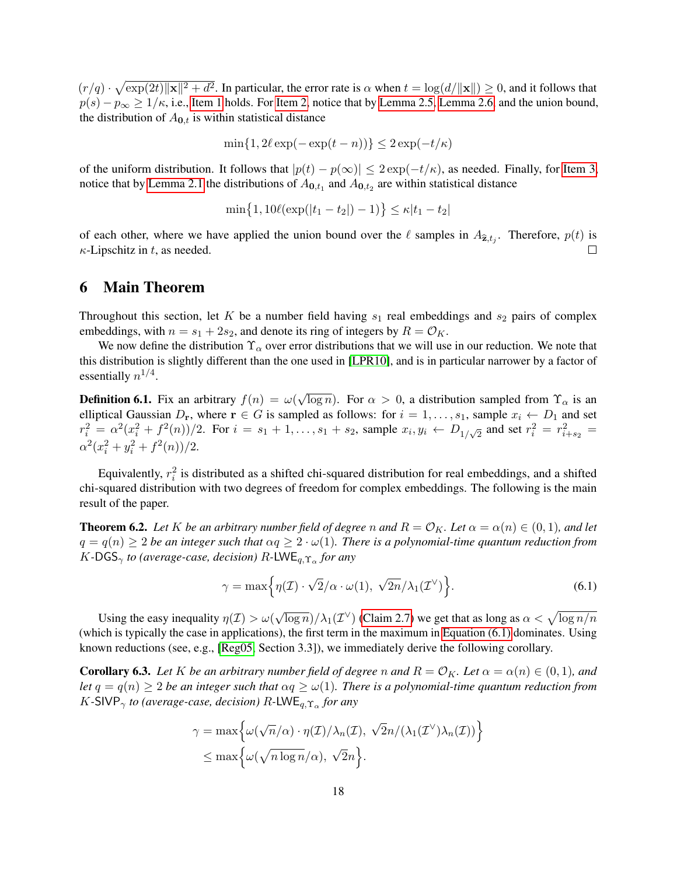$(r/q) \cdot \sqrt{\exp(2t)} ||\mathbf{x}||^2 + d^2$ . In particular, the error rate is  $\alpha$  when  $t = \log(d/||\mathbf{x}||) \geq 0$ , and it follows that  $p(s) - p_{\infty} \ge 1/\kappa$ , i.e., [Item 1](#page-13-2) holds. For [Item 2,](#page-13-3) notice that by [Lemma 2.5,](#page-7-3) [Lemma 2.6,](#page-7-0) and the union bound, the distribution of  $A_{0,t}$  is within statistical distance

$$
\min\{1, 2\ell \exp(-\exp(t - n))\} \le 2\exp(-t/\kappa)
$$

of the uniform distribution. It follows that  $|p(t) - p(\infty)| \leq 2 \exp(-t/\kappa)$ , as needed. Finally, for [Item 3,](#page-13-4) notice that by [Lemma 2.1](#page-5-1) the distributions of  $A_{0,t_1}$  and  $A_{0,t_2}$  are within statistical distance

$$
\min\{1, 10\ell(\exp(|t_1 - t_2|) - 1)\} \le \kappa|t_1 - t_2|
$$

of each other, where we have applied the union bound over the  $\ell$  samples in  $A_{\hat{z},t_j}$ . Therefore,  $p(t)$  is  $\kappa$ -Lipschitz in t, as needed.  $\Box$ 

# 6 Main Theorem

Throughout this section, let K be a number field having  $s_1$  real embeddings and  $s_2$  pairs of complex embeddings, with  $n = s_1 + 2s_2$ , and denote its ring of integers by  $R = \mathcal{O}_K$ .

We now define the distribution  $\Upsilon_{\alpha}$  over error distributions that we will use in our reduction. We note that this distribution is slightly different than the one used in [\[LPR10\]](#page-25-0), and is in particular narrower by a factor of essentially  $n^{1/4}$ .

<span id="page-18-2"></span>**Definition 6.1.** Fix an arbitrary  $f(n) = \omega(n)$ √  $\overline{\log n}$ ). For  $\alpha > 0$ , a distribution sampled from  $\Upsilon_{\alpha}$  is an elliptical Gaussian  $D_r$ , where  $r \in G$  is sampled as follows: for  $i = 1, \ldots, s_1$ , sample  $x_i \leftarrow D_1$  and set  $r_i^2 = \alpha^2 (x_i^2 + f^2(n))/2$ . For  $i = s_1 + 1, ..., s_1 + s_2$ , sample  $x_i, y_i \leftarrow D_{1/\sqrt{2}}$  and set  $r_i^2 = r_{i+s_2}^2 = r_{i+s_1}^2$  $\alpha^2(x_i^2+y_i^2+f^2(n))/2.$ 

Equivalently,  $r_i^2$  is distributed as a shifted chi-squared distribution for real embeddings, and a shifted chi-squared distribution with two degrees of freedom for complex embeddings. The following is the main result of the paper.

<span id="page-18-0"></span>**Theorem 6.2.** *Let* K *be an arbitrary number field of degree* n and  $R = \mathcal{O}_K$ *. Let*  $\alpha = \alpha(n) \in (0, 1)$ *, and let*  $q = q(n) \geq 2$  *be an integer such that*  $\alpha q \geq 2 \cdot \omega(1)$ *. There is a polynomial-time quantum reduction from* K*-*DGS<sup>γ</sup> *to (average-case, decision)* R*-*LWEq,Υ<sup>α</sup> *for any*

<span id="page-18-1"></span>
$$
\gamma = \max\left\{\eta(\mathcal{I}) \cdot \sqrt{2}/\alpha \cdot \omega(1), \sqrt{2n}/\lambda_1(\mathcal{I}^\vee)\right\}.
$$
\n(6.1)

Using the easy inequality  $\eta(\mathcal{I}) > \omega$ √  $\overline{\log n})/\lambda_1(\mathcal{I}^{\vee})$  [\(Claim 2.7\)](#page-7-2) we get that as long as  $\alpha < \sqrt{\log n/n}$ (which is typically the case in applications), the first term in the maximum in [Equation \(6.1\)](#page-18-1) dominates. Using known reductions (see, e.g., [\[Reg05,](#page-26-0) Section 3.3]), we immediately derive the following corollary.

**Corollary 6.3.** *Let* K *be an arbitrary number field of degree* n and  $R = \mathcal{O}_K$ *. Let*  $\alpha = \alpha(n) \in (0, 1)$ *, and let*  $q = q(n) \ge 2$  *be an integer such that*  $\alpha q \ge \omega(1)$ *. There is a polynomial-time quantum reduction from*  $K$ -SIVP<sub> $\gamma$ </sub> to (average-case, decision)  $R$ -LWE<sub>q, $\Upsilon_{\alpha}$ </sub> for any

$$
\gamma = \max \Big\{ \omega(\sqrt{n}/\alpha) \cdot \eta(\mathcal{I})/\lambda_n(\mathcal{I}), \sqrt{2}n/(\lambda_1(\mathcal{I}^{\vee})\lambda_n(\mathcal{I})) \Big\}
$$
  

$$
\leq \max \Big\{ \omega(\sqrt{n \log n}/\alpha), \sqrt{2}n \Big\}.
$$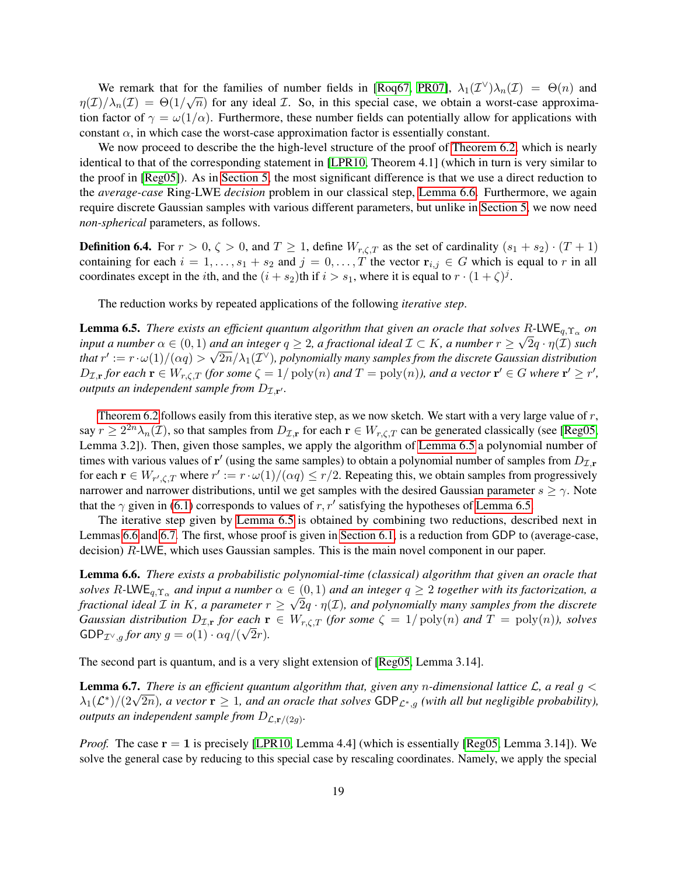We remark that for the families of number fields in [\[Roq67,](#page-26-4) [PR07\]](#page-25-7),  $\lambda_1(\mathcal{I}^{\vee})\lambda_n(\mathcal{I}) = \Theta(n)$  and  $\eta(\mathcal{I})/\lambda_n(\mathcal{I}) = \Theta(1/\sqrt{n})$  for any ideal  $\mathcal{I}$ . So, in this special case, we obtain a worst-case approximation factor of  $\gamma = \omega(1/\alpha)$ . Furthermore, these number fields can potentially allow for applications with constant  $\alpha$ , in which case the worst-case approximation factor is essentially constant.

We now proceed to describe the the high-level structure of the proof of [Theorem 6.2,](#page-18-0) which is nearly identical to that of the corresponding statement in [\[LPR10,](#page-25-0) Theorem 4.1] (which in turn is very similar to the proof in [\[Reg05\]](#page-26-0)). As in [Section 5,](#page-16-2) the most significant difference is that we use a direct reduction to the *average-case* Ring-LWE *decision* problem in our classical step, [Lemma 6.6.](#page-19-0) Furthermore, we again require discrete Gaussian samples with various different parameters, but unlike in [Section 5,](#page-16-2) we now need *non-spherical* parameters, as follows.

<span id="page-19-3"></span>**Definition 6.4.** For  $r > 0$ ,  $\zeta > 0$ , and  $T \ge 1$ , define  $W_{r,\zeta,T}$  as the set of cardinality  $(s_1 + s_2) \cdot (T + 1)$ containing for each  $i = 1, \ldots, s_1 + s_2$  and  $j = 0, \ldots, T$  the vector  $\mathbf{r}_{i,j} \in G$  which is equal to r in all coordinates except in the *i*th, and the  $(i + s_2)$ th if  $i > s_1$ , where it is equal to  $r \cdot (1 + \zeta)^j$ .

The reduction works by repeated applications of the following *iterative step*.

<span id="page-19-1"></span>**Lemma 6.5.** *There exists an efficient quantum algorithm that given an oracle that solves*  $R$ -LWE<sub>q,  $\Upsilon_{\alpha}$  *on*</sub> *input a number*  $\alpha \in (0,1)$  *and an integer*  $q \geq 2$ , *a fractional ideal*  $\mathcal{I} \subset K$ , *a number*  $r \geq \sqrt{2q} \cdot \eta(\mathcal{I})$  *such* that  $r':=r\cdot\omega(1)/(\alpha q)>\sqrt{2n}/\lambda_1(\mathcal{I}^\vee)$ , polynomially many samples from the discrete Gaussian distribution  $D_{\mathcal{I},\mathbf{r}}$  *for each*  $\mathbf{r} \in W_{r,\zeta,T}$  (for some  $\zeta = 1/\text{poly}(n)$  and  $T = \text{poly}(n)$ ), and a vector  $\mathbf{r}' \in G$  where  $\mathbf{r}' \geq r'$ , *outputs an independent sample from*  $D_{\mathcal{I},\mathbf{r}'}$ *.* 

[Theorem 6.2](#page-18-0) follows easily from this iterative step, as we now sketch. We start with a very large value of  $r$ , say  $r \ge 2^{2n} \lambda_n(\mathcal{I})$ , so that samples from  $D_{\mathcal{I},\mathbf{r}}$  for each  $\mathbf{r} \in W_{r,\zeta,T}$  can be generated classically (see [\[Reg05,](#page-26-0) Lemma 3.2]). Then, given those samples, we apply the algorithm of [Lemma 6.5](#page-19-1) a polynomial number of times with various values of  $\mathbf{r}'$  (using the same samples) to obtain a polynomial number of samples from  $D_{\mathcal{I},\mathbf{r}}$ for each  $\mathbf{r} \in W_{r',\zeta,T}$  where  $r' := r \cdot \omega(1)/(\alpha q) \leq r/2$ . Repeating this, we obtain samples from progressively narrower and narrower distributions, until we get samples with the desired Gaussian parameter  $s \ge \gamma$ . Note that the  $\gamma$  given in [\(6.1\)](#page-18-1) corresponds to values of r, r' satisfying the hypotheses of [Lemma 6.5.](#page-19-1)

The iterative step given by [Lemma 6.5](#page-19-1) is obtained by combining two reductions, described next in Lemmas [6.6](#page-19-0) and [6.7.](#page-19-2) The first, whose proof is given in [Section 6.1,](#page-20-2) is a reduction from GDP to (average-case, decision) R-LWE, which uses Gaussian samples. This is the main novel component in our paper.

<span id="page-19-0"></span>Lemma 6.6. *There exists a probabilistic polynomial-time (classical) algorithm that given an oracle that solves*  $R$ -LWE<sub>q, $\Upsilon_{\alpha}$  *and input a number*  $\alpha \in (0,1)$  *and an integer*  $q \geq 2$  *together with its factorization, a*</sub> *fractional ideal*  $\mathcal I$  *in*  $K$ *, a parameter*  $r \geq \sqrt{2q} \cdot \eta(\mathcal I)$ *, and polynomially many samples from the discrete Gaussian distribution*  $D_{\mathcal{I},\mathbf{r}}$  *for each*  $\mathbf{r} \in W_{r,\zeta,T}$  *(for some*  $\zeta = 1/\text{poly}(n)$  *and*  $T = \text{poly}(n)$ *), solves*  $GDP_{\mathcal{I}^{\vee},g}$  *for any*  $g = o(1) \cdot \alpha q/(\sqrt{2r}).$ 

<span id="page-19-2"></span>The second part is quantum, and is a very slight extension of [\[Reg05,](#page-26-0) Lemma 3.14].

Lemma 6.7. *There is an efficient quantum algorithm that, given any* n*-dimensional lattice* L*, a real* g < **Lemma 6.1.** There is an efficient quantum atgorithm that, given any n-atmensional tattice L, a real  $g < \lambda_1(\mathcal{L}^*)/(2\sqrt{2n})$ , a vector  $\mathbf{r} \geq 1$ , and an oracle that solves GDP<sub>L<sup>\*, g</sup> (with all but negligible probabi</sub> *outputs an independent sample from*  $D_{\mathcal{L},\mathbf{r}/(2g)}$ *.* 

*Proof.* The case  $r = 1$  is precisely [\[LPR10,](#page-25-0) Lemma 4.4] (which is essentially [\[Reg05,](#page-26-0) Lemma 3.14]). We solve the general case by reducing to this special case by rescaling coordinates. Namely, we apply the special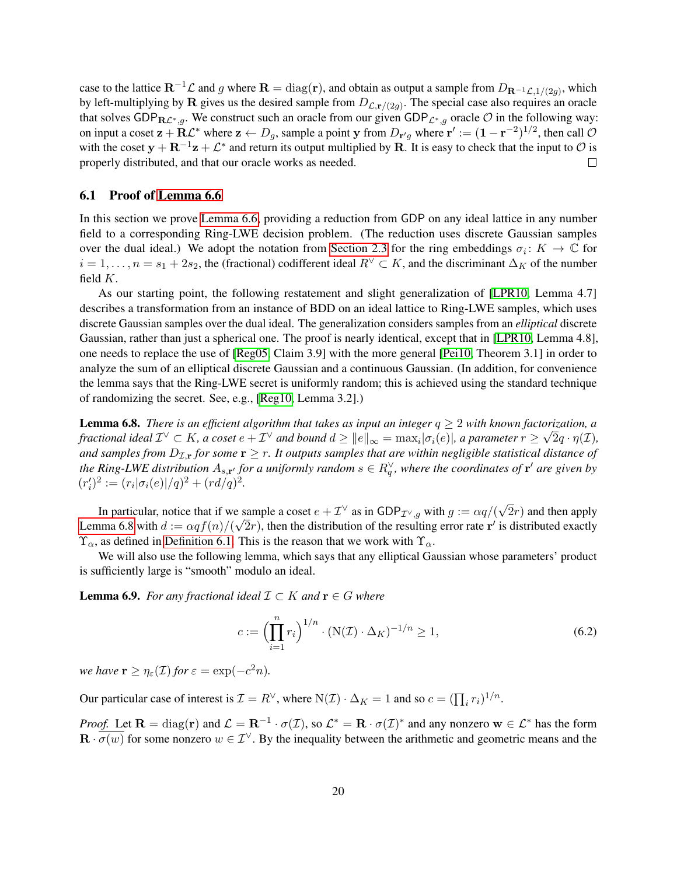case to the lattice  $\mathbf{R}^{-1}\mathcal{L}$  and g where  $\mathbf{R} = \text{diag}(\mathbf{r})$ , and obtain as output a sample from  $D_{\mathbf{R}^{-1}\mathcal{L},1/(2g)}$ , which by left-multiplying by **R** gives us the desired sample from  $D_{\mathcal{L}, r/(2g)}$ . The special case also requires an oracle that solves GDP<sub>RL<sup>∗</sup>,g</sub>. We construct such an oracle from our given GDP<sub>L<sup>∗</sup>,g</sub> oracle  $\mathcal O$  in the following way: on input a coset  $z + R\mathcal{L}^*$  where  $z \leftarrow D_g$ , sample a point y from  $D_{r'g}$  where  $r' := (1 - r^{-2})^{1/2}$ , then call  $\mathcal{O}$ with the coset  $y + R^{-1}z + \mathcal{L}^*$  and return its output multiplied by R. It is easy to check that the input to  $\mathcal O$  is properly distributed, and that our oracle works as needed.  $\Box$ 

#### <span id="page-20-2"></span>6.1 Proof of [Lemma 6.6](#page-19-0)

In this section we prove [Lemma 6.6,](#page-19-0) providing a reduction from GDP on any ideal lattice in any number field to a corresponding Ring-LWE decision problem. (The reduction uses discrete Gaussian samples over the dual ideal.) We adopt the notation from [Section 2.3](#page-8-1) for the ring embeddings  $\sigma_i: K \to \mathbb{C}$  for  $i = 1, \ldots, n = s_1 + 2s_2$ , the (fractional) codifferent ideal  $R^{\vee} \subset K$ , and the discriminant  $\Delta_K$  of the number field K.

As our starting point, the following restatement and slight generalization of [\[LPR10,](#page-25-0) Lemma 4.7] describes a transformation from an instance of BDD on an ideal lattice to Ring-LWE samples, which uses discrete Gaussian samples over the dual ideal. The generalization considers samples from an *elliptical* discrete Gaussian, rather than just a spherical one. The proof is nearly identical, except that in [\[LPR10,](#page-25-0) Lemma 4.8], one needs to replace the use of [\[Reg05,](#page-26-0) Claim 3.9] with the more general [\[Pei10,](#page-25-17) Theorem 3.1] in order to analyze the sum of an elliptical discrete Gaussian and a continuous Gaussian. (In addition, for convenience the lemma says that the Ring-LWE secret is uniformly random; this is achieved using the standard technique of randomizing the secret. See, e.g., [\[Reg10,](#page-26-5) Lemma 3.2].)

<span id="page-20-0"></span>**Lemma 6.8.** *There is an efficient algorithm that takes as input an integer*  $q \geq 2$  *with known factorization, a fractional ideal*  $\mathcal{I}^\vee\subset K$ *, a coset*  $e+\mathcal{I}^\vee$  *and bound*  $d\geq \|e\|_\infty=\max_i|\sigma_i(e)|$ *, a parameter*  $r\geq \sqrt{2}q\cdot \eta(\mathcal{I})$ *,* and samples from  $D_{\mathcal{I},\mathbf{r}}$  *for some*  $\mathbf{r} \geq r$ . It outputs samples that are within negligible statistical distance of the Ring-LWE distribution  $A_{s,r'}$  for a uniformly random  $s \in R_q^{\vee}$ , where the coordinates of  $r'$  are given by  $(r'_i)^2 := (r_i|\sigma_i(e)|/q)^2 + (rd/q)^2.$ 

In particular, notice that if we sample a coset  $e + \mathcal{I}^{\vee}$  as in GDP $_{\mathcal{I}^{\vee},g}$  with  $g := \alpha q / (\sqrt{2 \pi})$ e sample a coset  $e + \mathcal{I}^{\vee}$  as in GDP $_{\mathcal{I}^{\vee},g}$  with  $g := \alpha q/(\sqrt{2r})$  and then apply [Lemma 6.8](#page-20-0) with  $d := \alpha q f(n) / (\sqrt{2}r)$ , then the distribution of the resulting error rate r' is distributed exactly  $\Upsilon_{\alpha}$ , as defined in [Definition 6.1.](#page-18-2) This is the reason that we work with  $\Upsilon_{\alpha}$ .

We will also use the following lemma, which says that any elliptical Gaussian whose parameters' product is sufficiently large is "smooth" modulo an ideal.

<span id="page-20-1"></span>**Lemma 6.9.** *For any fractional ideal*  $\mathcal{I} \subset K$  *and*  $\mathbf{r} \in G$  *where* 

$$
c := \left(\prod_{i=1}^{n} r_i\right)^{1/n} \cdot (\mathcal{N}(\mathcal{I}) \cdot \Delta_K)^{-1/n} \ge 1,
$$
\n(6.2)

*we have*  $\mathbf{r} \geq \eta_{\varepsilon}(\mathcal{I})$  *for*  $\varepsilon = \exp(-c^2 n)$ *.* 

Our particular case of interest is  $\mathcal{I} = R^{\vee}$ , where  $N(\mathcal{I}) \cdot \Delta_K = 1$  and so  $c = (\prod_i r_i)^{1/n}$ .

*Proof.* Let  $\mathbf{R} = \text{diag}(\mathbf{r})$  and  $\mathcal{L} = \mathbf{R}^{-1} \cdot \sigma(\mathcal{I})$ , so  $\mathcal{L}^* = \mathbf{R} \cdot \sigma(\mathcal{I})^*$  and any nonzero  $\mathbf{w} \in \mathcal{L}^*$  has the form  $\mathbf{R} \cdot \sigma(w)$  for some nonzero  $w \in \mathcal{I}^{\vee}$ . By the inequality between the arithmetic and geometric means and the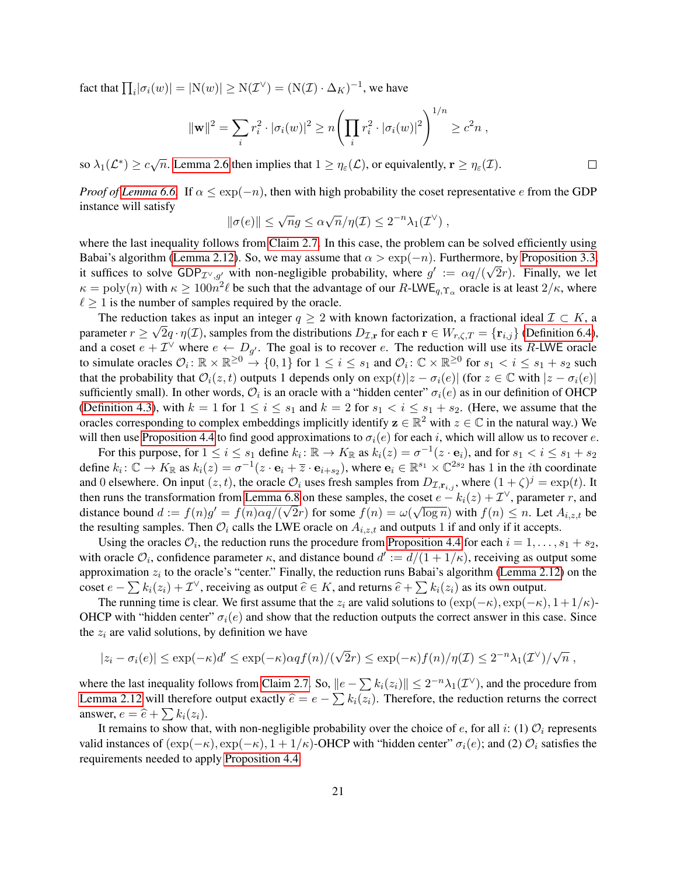fact that  $\prod_i |\sigma_i(w)| = |\mathcal{N}(w)| \ge \mathcal{N}(\mathcal{I}^{\vee}) = (\mathcal{N}(\mathcal{I}) \cdot \Delta_K)^{-1}$ , we have

$$
\|\mathbf{w}\|^2 = \sum_i r_i^2 \cdot |\sigma_i(w)|^2 \ge n \left( \prod_i r_i^2 \cdot |\sigma_i(w)|^2 \right)^{1/n} \ge c^2 n ,
$$

 $\Box$ 

so  $\lambda_1(\mathcal{L}^*) \geq c\sqrt{n}$ . [Lemma 2.6](#page-7-0) then implies that  $1 \geq \eta_{\varepsilon}(\mathcal{L})$ , or equivalently,  $\mathbf{r} \geq \eta_{\varepsilon}(\mathcal{I})$ .

*Proof of [Lemma 6.6.](#page-19-0)* If  $\alpha \leq \exp(-n)$ , then with high probability the coset representative e from the GDP instance will satisfy √

$$
\|\sigma(e)\| \leq \sqrt{n}g \leq \alpha \sqrt{n}/\eta(\mathcal{I}) \leq 2^{-n}\lambda_1(\mathcal{I}^{\vee}),
$$

where the last inequality follows from [Claim 2.7.](#page-7-2) In this case, the problem can be solved efficiently using Babai's algorithm [\(Lemma 2.12\)](#page-7-1). So, we may assume that  $\alpha > \exp(-n)$ . Furthermore, by [Proposition 3.3,](#page-10-1) it suffices to solve GDP<sub>*T*∨,g'</sub> with non-negligible probability, where  $g' := \alpha q/(\sqrt{2}r)$ . Finally, we let  $\kappa = \text{poly}(n)$  with  $\kappa \ge 100n^2\ell$  be such that the advantage of our  $R$ -LWE<sub>q,  $\Upsilon_{\alpha}$ </sub> oracle is at least  $2/\kappa$ , where  $\ell \geq 1$  is the number of samples required by the oracle.

The reduction takes as input an integer  $q \ge 2$  with known factorization, a fractional ideal  $\mathcal{I} \subset K$ , a parameter  $r \geq \sqrt{2}q \cdot \eta(\mathcal{I})$ , samples from the distributions  $D_{\mathcal{I},\mathbf{r}}$  for each  $\mathbf{r} \in W_{r,\zeta,T} = \{\mathbf{r}_{i,j}\}$  [\(Definition 6.4\)](#page-19-3), and a coset  $e + \mathcal{I}^{\vee}$  where  $e \leftarrow D_{g'}$ . The goal is to recover e. The reduction will use its R-LWE oracle to simulate oracles  $\mathcal{O}_i$ :  $\mathbb{R} \times \mathbb{R}^{\geq 0} \to \{0,1\}$  for  $1 \leq i \leq s_1$  and  $\mathcal{O}_i$ :  $\mathbb{C} \times \mathbb{R}^{\geq 0}$  for  $s_1 < i \leq s_1 + s_2$  such that the probability that  $\mathcal{O}_i(z,t)$  outputs 1 depends only on  $\exp(t)|z - \sigma_i(e)|$  (for  $z \in \mathbb{C}$  with  $|z - \sigma_i(e)|$ sufficiently small). In other words,  $\mathcal{O}_i$  is an oracle with a "hidden center"  $\sigma_i(e)$  as in our definition of OHCP [\(Definition 4.3\)](#page-13-5), with  $k = 1$  for  $1 \le i \le s_1$  and  $k = 2$  for  $s_1 < i \le s_1 + s_2$ . (Here, we assume that the oracles corresponding to complex embeddings implicitly identify  $\mathbf{z} \in \mathbb{R}^2$  with  $z \in \mathbb{C}$  in the natural way.) We will then use [Proposition 4.4](#page-13-0) to find good approximations to  $\sigma_i(e)$  for each i, which will allow us to recover e.

For this purpose, for  $1 \le i \le s_1$  define  $k_i \colon \mathbb{R} \to K_{\mathbb{R}}$  as  $k_i(z) = \sigma^{-1}(z \cdot \mathbf{e}_i)$ , and for  $s_1 < i \le s_1 + s_2$ define  $k_i: \mathbb{C} \to K_{\mathbb{R}}$  as  $k_i(z) = \sigma^{-1}(z \cdot \mathbf{e}_i + \overline{z} \cdot \mathbf{e}_{i+s_2})$ , where  $\mathbf{e}_i \in \mathbb{R}^{s_1} \times \mathbb{C}^{2s_2}$  has 1 in the *i*th coordinate and 0 elsewhere. On input  $(z, t)$ , the oracle  $\mathcal{O}_i$  uses fresh samples from  $D_{\mathcal{I}, \mathbf{r}_{i,j}}$ , where  $(1 + \zeta)^j = \exp(t)$ . It then runs the transformation from [Lemma 6.8](#page-20-0) on these samples, the coset  $e - k_i(z) + \mathcal{I}^{\vee}$ , parameter r, and distance bound  $d := f(n)g' = f(n)\alpha q/(\sqrt{2}r)$  for some  $f(n) = \omega(\sqrt{\log n})$  with  $f(n) \leq n$ . Let  $A_{i,z,t}$  be the resulting samples. Then  $\mathcal{O}_i$  calls the LWE oracle on  $A_{i,z,t}$  and outputs 1 if and only if it accepts.

Using the oracles  $\mathcal{O}_i$ , the reduction runs the procedure from [Proposition 4.4](#page-13-0) for each  $i = 1, \ldots, s_1 + s_2$ , with oracle  $\mathcal{O}_i$ , confidence parameter  $\kappa$ , and distance bound  $d' := d/(1 + 1/\kappa)$ , receiving as output some approximation  $z_i$  to the oracle's "center." Finally, the reduction runs Babai's algorithm [\(Lemma 2.12\)](#page-7-1) on the coset  $e - \sum k_i(z_i) + \mathcal{I}^{\vee}$ , receiving as output  $\widehat{e} \in K$ , and returns  $\widehat{e} + \sum k_i(z_i)$  as its own output.<br>The running time is clear. We first assume that the  $\epsilon_i$  are valid solutions to  $(\text{curl}(\epsilon_i), \text{curl}(\epsilon_i))$ 

The running time is clear. We first assume that the  $z_i$  are valid solutions to  $(\exp(-\kappa), \exp(-\kappa), 1 + 1/\kappa)$ -OHCP with "hidden center"  $\sigma_i(e)$  and show that the reduction outputs the correct answer in this case. Since the  $z_i$  are valid solutions, by definition we have

$$
|z_i - \sigma_i(e)| \le \exp(-\kappa)d' \le \exp(-\kappa)\alpha qf(n)/(\sqrt{2}r) \le \exp(-\kappa)f(n)/\eta(\mathcal{I}) \le 2^{-n}\lambda_1(\mathcal{I}^{\vee})/\sqrt{n},
$$

where the last inequality follows from [Claim 2.7.](#page-7-2) So,  $||e - \sum k_i(z_i)|| \leq 2^{-n} \lambda_1(\mathcal{I}^{\vee})$ , and the procedure from [Lemma 2.12](#page-7-1) will therefore output exactly  $\hat{e} = e - \sum k_i(z_i)$ . Therefore, the reduction returns the correct answer  $e = \hat{e} + \sum k_i(z_i)$ . answer,  $e = \hat{e} + \sum k_i(z_i)$ .<br>It remains to show that

It remains to show that, with non-negligible probability over the choice of e, for all i: (1)  $\mathcal{O}_i$  represents valid instances of  $(\exp(-\kappa), \exp(-\kappa), 1 + 1/\kappa)$ -OHCP with "hidden center"  $\sigma_i(e)$ ; and (2)  $\mathcal{O}_i$  satisfies the requirements needed to apply [Proposition 4.4.](#page-13-0)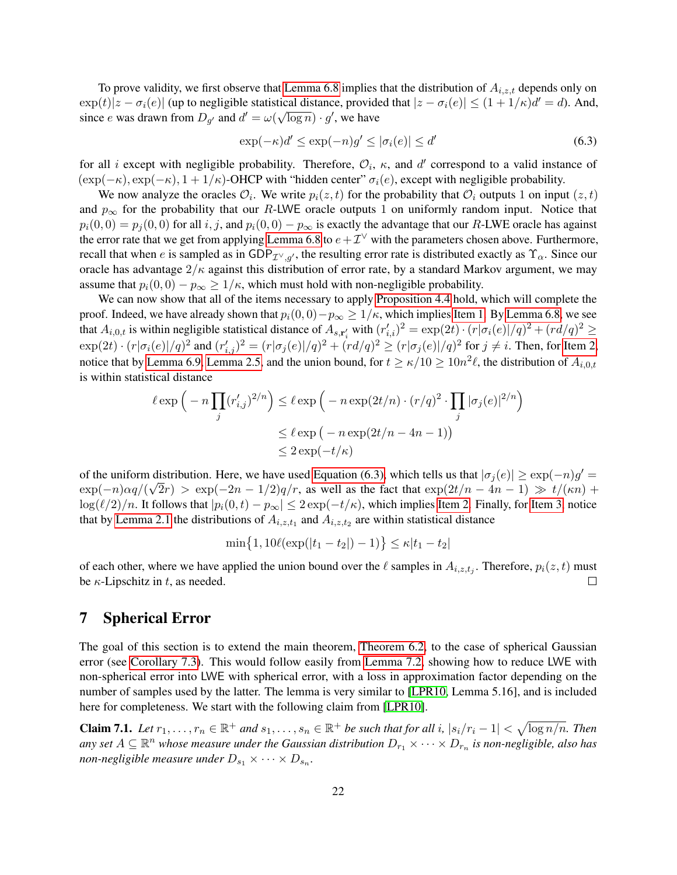To prove validity, we first observe that [Lemma 6.8](#page-20-0) implies that the distribution of  $A_{i,z,t}$  depends only on  $\exp(t)|z - \sigma_i(e)|$  (up to negligible statistical distance, provided that  $|z - \sigma_i(e)| \leq (1 + 1/\kappa)d' = d$ ). And, since e was drawn from  $D_{g'}$  and  $d' = \omega(\sqrt{\log n}) \cdot g'$ , we have

<span id="page-22-0"></span>
$$
\exp(-\kappa)d' \le \exp(-n)g' \le |\sigma_i(e)| \le d'
$$
\n(6.3)

for all *i* except with negligible probability. Therefore,  $\mathcal{O}_i$ ,  $\kappa$ , and d' correspond to a valid instance of  $(\exp(-\kappa), \exp(-\kappa), 1 + 1/\kappa)$ -OHCP with "hidden center"  $\sigma_i(e)$ , except with negligible probability.

We now analyze the oracles  $\mathcal{O}_i$ . We write  $p_i(z, t)$  for the probability that  $\mathcal{O}_i$  outputs 1 on input  $(z, t)$ and  $p_{\infty}$  for the probability that our R-LWE oracle outputs 1 on uniformly random input. Notice that  $p_i(0,0) = p_j(0,0)$  for all i, j, and  $p_i(0,0) - p_{\infty}$  is exactly the advantage that our R-LWE oracle has against the error rate that we get from applying [Lemma 6.8](#page-20-0) to  $e+\mathcal{I}^{\vee}$  with the parameters chosen above. Furthermore, recall that when e is sampled as in GDP<sub>I<sup>∨, g'</sup>, the resulting error rate is distributed exactly as  $\Upsilon_{\alpha}$ . Since our</sub> oracle has advantage  $2/\kappa$  against this distribution of error rate, by a standard Markov argument, we may assume that  $p_i(0,0) - p_\infty \geq 1/\kappa$ , which must hold with non-negligible probability.

We can now show that all of the items necessary to apply [Proposition 4.4](#page-13-0) hold, which will complete the proof. Indeed, we have already shown that  $p_i(0, 0) - p_\infty \geq 1/\kappa$ , which implies [Item 1.](#page-13-2) By [Lemma 6.8,](#page-20-0) we see that  $A_{i,0,t}$  is within negligible statistical distance of  $A_{s,\mathbf{r}'_i}$  with  $(r'_{i,i})^2 = \exp(2t) \cdot (r|\sigma_i(e)|/q)^2 + (rd/q)^2 \geq$  $\exp(2t) \cdot (r|\sigma_i(e)|/q)^2$  and  $(r'_{i,j})^2 = (r|\sigma_j(e)|/q)^2 + (rd/q)^2 \ge (r|\sigma_j(e)|/q)^2$  for  $j \ne i$ . Then, for [Item 2,](#page-13-3) notice that by [Lemma 6.9,](#page-20-1) [Lemma 2.5,](#page-7-3) and the union bound, for  $t \ge \kappa/10 \ge 10n^2\ell$ , the distribution of  $A_{i,0,t}$ is within statistical distance

$$
\ell \exp\left(-n \prod_j (r'_{i,j})^{2/n}\right) \le \ell \exp\left(-n \exp(2t/n) \cdot (r/q)^2 \cdot \prod_j |\sigma_j(e)|^{2/n}\right)
$$

$$
\le \ell \exp\left(-n \exp(2t/n - 4n - 1)\right)
$$

$$
\le 2 \exp(-t/\kappa)
$$

of the uniform distribution. Here, we have used [Equation \(6.3\),](#page-22-0) which tells us that  $|\sigma_j(e)| \ge \exp(-n)g'$  $\exp(-n)\alpha q/(\sqrt{2r}) > \exp(-2n-1/2)q/r$ , as well as the fact that  $\exp(2t/n - 4n - 1) \gg t/(\kappa n) +$  $\log(\ell/2)/n$ . It follows that  $|p_i(0, t) - p_\infty| \leq 2 \exp(-t/\kappa)$ , which implies [Item 2.](#page-13-3) Finally, for [Item 3,](#page-13-4) notice that by [Lemma 2.1](#page-5-1) the distributions of  $A_{i,z,t_1}$  and  $A_{i,z,t_2}$  are within statistical distance

$$
\min\{1, 10\ell(\exp(|t_1 - t_2|) - 1)\} \le \kappa|t_1 - t_2|
$$

of each other, where we have applied the union bound over the  $\ell$  samples in  $A_{i,z,t_j}$ . Therefore,  $p_i(z,t)$  must be  $\kappa$ -Lipschitz in t, as needed.  $\Box$ 

# 7 Spherical Error

The goal of this section is to extend the main theorem, [Theorem 6.2,](#page-18-0) to the case of spherical Gaussian error (see [Corollary 7.3\)](#page-23-0). This would follow easily from [Lemma 7.2,](#page-23-1) showing how to reduce LWE with non-spherical error into LWE with spherical error, with a loss in approximation factor depending on the number of samples used by the latter. The lemma is very similar to [\[LPR10,](#page-25-0) Lemma 5.16], and is included here for completeness. We start with the following claim from [\[LPR10\]](#page-25-0).

<span id="page-22-1"></span>**Claim 7.1.** Let  $r_1, \ldots, r_n \in \mathbb{R}^+$  and  $s_1, \ldots, s_n \in \mathbb{R}^+$  be such that for all i,  $|s_i/r_i - 1| < \sqrt{\log n/n}$ . Then any set  $A\subseteq \R^n$  whose measure under the Gaussian distribution  $D_{r_1}\times\dots\times D_{r_n}$  is non-negligible, also has non-negligible measure under  $D_{s_1} \times \cdots \times D_{s_n}.$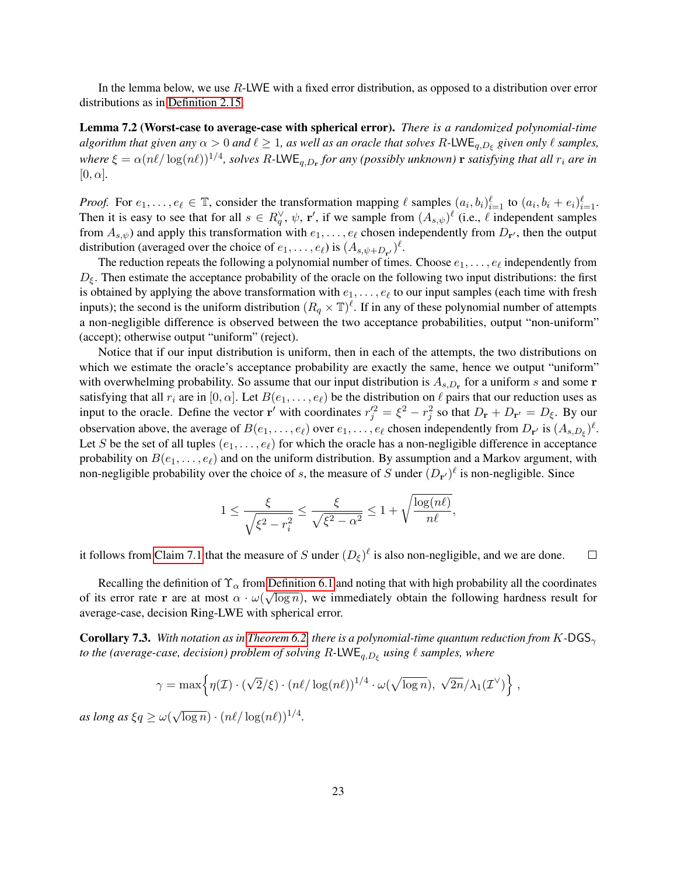In the lemma below, we use  $R$ -LWE with a fixed error distribution, as opposed to a distribution over error distributions as in [Definition 2.15.](#page-9-2)

<span id="page-23-1"></span>Lemma 7.2 (Worst-case to average-case with spherical error). *There is a randomized polynomial-time*  $a$ lgorithm that given any  $\alpha > 0$  and  $\ell \ge 1$ , as well as an oracle that solves  $R$ -LWE<sub>q,D<sub>ξ</sub></sub> given only  $\ell$  samples,  $w$ here  $\xi = \alpha (n\ell/\log(n\ell))^{1/4}$ , solves  $R$ -LWE<sub>q,Dr</sub> for any (possibly unknown)  ${\bf r}$  satisfying that all  $r_i$  are in  $[0, \alpha]$ .

*Proof.* For  $e_1, \ldots, e_\ell \in \mathbb{T}$ , consider the transformation mapping  $\ell$  samples  $(a_i, b_i)_{i=1}^{\ell}$  to  $(a_i, b_i + e_i)_{i=1}^{\ell}$ . Then it is easy to see that for all  $s \in R_q^{\vee}$ ,  $\psi$ , r', if we sample from  $(A_{s,\psi})^{\ell}$  (i.e.,  $\ell$  independent samples from  $A_{s,\psi}$ ) and apply this transformation with  $e_1, \ldots, e_\ell$  chosen independently from  $D_{\bf r'}$ , then the output distribution (averaged over the choice of  $e_1, \ldots, e_\ell$ ) is  $(A_{s, \psi + D_{\mathbf{r}'}})^\ell$ .

The reduction repeats the following a polynomial number of times. Choose  $e_1, \ldots, e_\ell$  independently from  $D_{\xi}$ . Then estimate the acceptance probability of the oracle on the following two input distributions: the first is obtained by applying the above transformation with  $e_1, \ldots, e_\ell$  to our input samples (each time with fresh inputs); the second is the uniform distribution  $(R_q \times T)^{\ell}$ . If in any of these polynomial number of attempts a non-negligible difference is observed between the two acceptance probabilities, output "non-uniform" (accept); otherwise output "uniform" (reject).

Notice that if our input distribution is uniform, then in each of the attempts, the two distributions on which we estimate the oracle's acceptance probability are exactly the same, hence we output "uniform" with overwhelming probability. So assume that our input distribution is  $A_{s,D_r}$  for a uniform s and some r satisfying that all  $r_i$  are in  $[0, \alpha]$ . Let  $B(e_1, \ldots, e_\ell)$  be the distribution on  $\ell$  pairs that our reduction uses as input to the oracle. Define the vector r' with coordinates  $r_j'^2 = \xi^2 - r_j^2$  so that  $D_r + D_{r'} = D_\xi$ . By our observation above, the average of  $B(e_1, \ldots, e_\ell)$  over  $e_1, \ldots, e_\ell$  chosen independently from  $D_{\mathbf{r}'}$  is  $(A_{s,D_\xi})^\ell$ . Let S be the set of all tuples  $(e_1, \ldots, e_\ell)$  for which the oracle has a non-negligible difference in acceptance probability on  $B(e_1, \ldots, e_\ell)$  and on the uniform distribution. By assumption and a Markov argument, with non-negligible probability over the choice of s, the measure of S under  $(D_{\bf r'})^\ell$  is non-negligible. Since

<span id="page-23-0"></span>
$$
1 \le \frac{\xi}{\sqrt{\xi^2 - r_i^2}} \le \frac{\xi}{\sqrt{\xi^2 - \alpha^2}} \le 1 + \sqrt{\frac{\log(n\ell)}{n\ell}},
$$

it follows from [Claim 7.1](#page-22-1) that the measure of S under  $(D_{\xi})^{\ell}$  is also non-negligible, and we are done.  $\Box$ 

Recalling the definition of  $\Upsilon_{\alpha}$  from [Definition 6.1](#page-18-2) and noting that with high probability all the coordinates of its error rate r are at most  $\alpha \cdot \omega(\sqrt{\log n})$ , we immediately obtain the following hardness result for average-case, decision Ring-LWE with spherical error.

Corollary 7.3. *With notation as in [Theorem 6.2,](#page-18-0) there is a polynomial-time quantum reduction from* K*-*DGS<sup>γ</sup> *to the (average-case, decision) problem of solving R-LWE<sub>q,D<sub>ξ</sub> using*  $\ell$  *samples, where*</sub>

$$
\gamma = \max \Big\{ \eta(\mathcal{I}) \cdot (\sqrt{2}/\xi) \cdot (n\ell/\log(n\ell))^{1/4} \cdot \omega(\sqrt{\log n}), \sqrt{2n}/\lambda_1(\mathcal{I}^{\vee}) \Big\} ,
$$

*as long as*  $\xi q \geq \omega($  $\sqrt{\log n} \cdot (n\ell/\log(n\ell))^{1/4}.$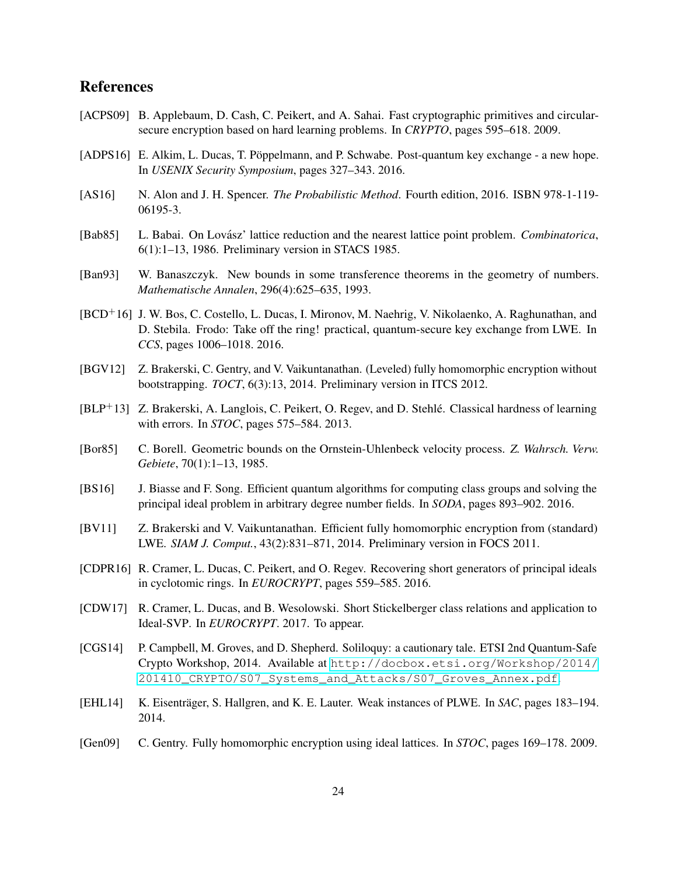# References

- <span id="page-24-10"></span>[ACPS09] B. Applebaum, D. Cash, C. Peikert, and A. Sahai. Fast cryptographic primitives and circularsecure encryption based on hard learning problems. In *CRYPTO*, pages 595–618. 2009.
- <span id="page-24-2"></span>[ADPS16] E. Alkim, L. Ducas, T. Pöppelmann, and P. Schwabe. Post-quantum key exchange - a new hope. In *USENIX Security Symposium*, pages 327–343. 2016.
- <span id="page-24-15"></span>[AS16] N. Alon and J. H. Spencer. *The Probabilistic Method*. Fourth edition, 2016. ISBN 978-1-119- 06195-3.
- <span id="page-24-14"></span>[Bab85] L. Babai. On Lovász' lattice reduction and the nearest lattice point problem. *Combinatorica*, 6(1):1–13, 1986. Preliminary version in STACS 1985.
- <span id="page-24-13"></span>[Ban93] W. Banaszczyk. New bounds in some transference theorems in the geometry of numbers. *Mathematische Annalen*, 296(4):625–635, 1993.
- <span id="page-24-3"></span>[BCD<sup>+</sup>16] J. W. Bos, C. Costello, L. Ducas, I. Mironov, M. Naehrig, V. Nikolaenko, A. Raghunathan, and D. Stebila. Frodo: Take off the ring! practical, quantum-secure key exchange from LWE. In *CCS*, pages 1006–1018. 2016.
- <span id="page-24-1"></span>[BGV12] Z. Brakerski, C. Gentry, and V. Vaikuntanathan. (Leveled) fully homomorphic encryption without bootstrapping. *TOCT*, 6(3):13, 2014. Preliminary version in ITCS 2012.
- <span id="page-24-5"></span> $[BLP<sup>+</sup>13]$  Z. Brakerski, A. Langlois, C. Peikert, O. Regev, and D. Stehlé. Classical hardness of learning with errors. In *STOC*, pages 575–584. 2013.
- <span id="page-24-12"></span>[Bor85] C. Borell. Geometric bounds on the Ornstein-Uhlenbeck velocity process. *Z. Wahrsch. Verw. Gebiete*, 70(1):1–13, 1985.
- <span id="page-24-7"></span>[BS16] J. Biasse and F. Song. Efficient quantum algorithms for computing class groups and solving the principal ideal problem in arbitrary degree number fields. In *SODA*, pages 893–902. 2016.
- <span id="page-24-0"></span>[BV11] Z. Brakerski and V. Vaikuntanathan. Efficient fully homomorphic encryption from (standard) LWE. *SIAM J. Comput.*, 43(2):831–871, 2014. Preliminary version in FOCS 2011.
- <span id="page-24-8"></span>[CDPR16] R. Cramer, L. Ducas, C. Peikert, and O. Regev. Recovering short generators of principal ideals in cyclotomic rings. In *EUROCRYPT*, pages 559–585. 2016.
- <span id="page-24-9"></span>[CDW17] R. Cramer, L. Ducas, and B. Wesolowski. Short Stickelberger class relations and application to Ideal-SVP. In *EUROCRYPT*. 2017. To appear.
- <span id="page-24-6"></span>[CGS14] P. Campbell, M. Groves, and D. Shepherd. Soliloquy: a cautionary tale. ETSI 2nd Quantum-Safe Crypto Workshop, 2014. Available at [http://docbox.etsi.org/Workshop/2014/](http://docbox.etsi.org/Workshop/2014/201410_CRYPTO/S07_Systems_and_Attacks/S07_Groves_Annex.pdf) [201410\\_CRYPTO/S07\\_Systems\\_and\\_Attacks/S07\\_Groves\\_Annex.pdf](http://docbox.etsi.org/Workshop/2014/201410_CRYPTO/S07_Systems_and_Attacks/S07_Groves_Annex.pdf).
- <span id="page-24-4"></span>[EHL14] K. Eisenträger, S. Hallgren, and K. E. Lauter. Weak instances of PLWE. In *SAC*, pages 183–194. 2014.
- <span id="page-24-11"></span>[Gen09] C. Gentry. Fully homomorphic encryption using ideal lattices. In *STOC*, pages 169–178. 2009.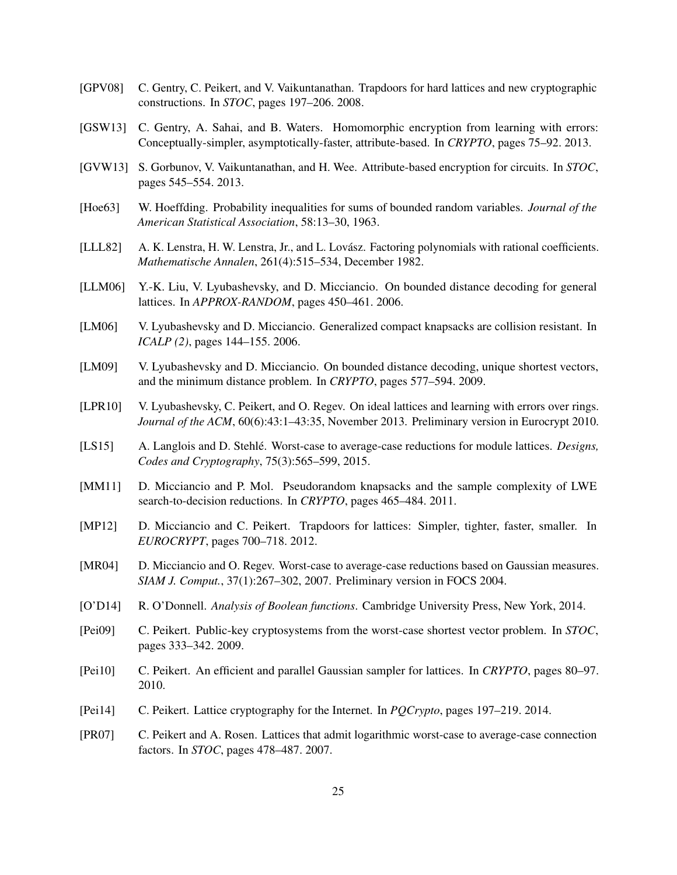- <span id="page-25-1"></span>[GPV08] C. Gentry, C. Peikert, and V. Vaikuntanathan. Trapdoors for hard lattices and new cryptographic constructions. In *STOC*, pages 197–206. 2008.
- <span id="page-25-3"></span>[GSW13] C. Gentry, A. Sahai, and B. Waters. Homomorphic encryption from learning with errors: Conceptually-simpler, asymptotically-faster, attribute-based. In *CRYPTO*, pages 75–92. 2013.
- <span id="page-25-2"></span>[GVW13] S. Gorbunov, V. Vaikuntanathan, and H. Wee. Attribute-based encryption for circuits. In *STOC*, pages 545–554. 2013.
- <span id="page-25-15"></span>[Hoe63] W. Hoeffding. Probability inequalities for sums of bounded random variables. *Journal of the American Statistical Association*, 58:13–30, 1963.
- <span id="page-25-14"></span>[LLL82] A. K. Lenstra, H. W. Lenstra, Jr., and L. Lovász. Factoring polynomials with rational coefficients. *Mathematische Annalen*, 261(4):515–534, December 1982.
- <span id="page-25-11"></span>[LLM06] Y.-K. Liu, V. Lyubashevsky, and D. Micciancio. On bounded distance decoding for general lattices. In *APPROX-RANDOM*, pages 450–461. 2006.
- <span id="page-25-10"></span>[LM06] V. Lyubashevsky and D. Micciancio. Generalized compact knapsacks are collision resistant. In *ICALP (2)*, pages 144–155. 2006.
- <span id="page-25-16"></span>[LM09] V. Lyubashevsky and D. Micciancio. On bounded distance decoding, unique shortest vectors, and the minimum distance problem. In *CRYPTO*, pages 577–594. 2009.
- <span id="page-25-0"></span>[LPR10] V. Lyubashevsky, C. Peikert, and O. Regev. On ideal lattices and learning with errors over rings. *Journal of the ACM*, 60(6):43:1–43:35, November 2013. Preliminary version in Eurocrypt 2010.
- <span id="page-25-5"></span>[LS15] A. Langlois and D. Stehlé. Worst-case to average-case reductions for module lattices. *Designs*, *Codes and Cryptography*, 75(3):565–599, 2015.
- <span id="page-25-8"></span>[MM11] D. Micciancio and P. Mol. Pseudorandom knapsacks and the sample complexity of LWE search-to-decision reductions. In *CRYPTO*, pages 465–484. 2011.
- <span id="page-25-9"></span>[MP12] D. Micciancio and C. Peikert. Trapdoors for lattices: Simpler, tighter, faster, smaller. In *EUROCRYPT*, pages 700–718. 2012.
- <span id="page-25-13"></span>[MR04] D. Micciancio and O. Regev. Worst-case to average-case reductions based on Gaussian measures. *SIAM J. Comput.*, 37(1):267–302, 2007. Preliminary version in FOCS 2004.
- <span id="page-25-12"></span>[O'D14] R. O'Donnell. *Analysis of Boolean functions*. Cambridge University Press, New York, 2014.
- <span id="page-25-6"></span>[Pei09] C. Peikert. Public-key cryptosystems from the worst-case shortest vector problem. In *STOC*, pages 333–342. 2009.
- <span id="page-25-17"></span>[Pei10] C. Peikert. An efficient and parallel Gaussian sampler for lattices. In *CRYPTO*, pages 80–97. 2010.
- <span id="page-25-4"></span>[Pei14] C. Peikert. Lattice cryptography for the Internet. In *PQCrypto*, pages 197–219. 2014.
- <span id="page-25-7"></span>[PR07] C. Peikert and A. Rosen. Lattices that admit logarithmic worst-case to average-case connection factors. In *STOC*, pages 478–487. 2007.